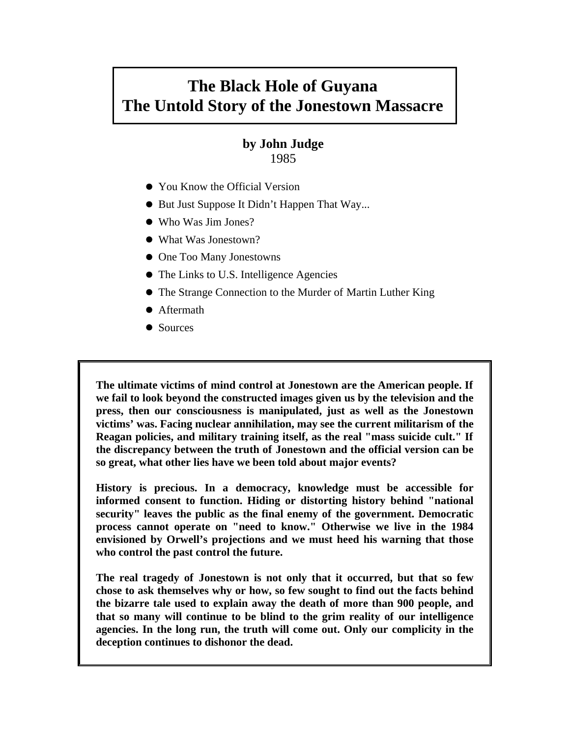# **The Black Hole of Guyana The Untold Story of the Jonestown Massacre**

# **by John Judge**  1985

- You Know the Official Version
- But Just Suppose It Didn't Happen That Way...
- Who Was Jim Jones?
- What Was Jonestown?
- One Too Many Jonestowns
- The Links to U.S. Intelligence Agencies
- The Strange Connection to the Murder of Martin Luther King
- Aftermath
- Sources

**The ultimate victims of mind control at Jonestown are the American people. If we fail to look beyond the constructed images given us by the television and the press, then our consciousness is manipulated, just as well as the Jonestown victims' was. Facing nuclear annihilation, may see the current militarism of the Reagan policies, and military training itself, as the real "mass suicide cult." If the discrepancy between the truth of Jonestown and the official version can be so great, what other lies have we been told about major events?** 

**History is precious. In a democracy, knowledge must be accessible for informed consent to function. Hiding or distorting history behind "national security" leaves the public as the final enemy of the government. Democratic process cannot operate on "need to know." Otherwise we live in the 1984 envisioned by Orwell's projections and we must heed his warning that those who control the past control the future.** 

**The real tragedy of Jonestown is not only that it occurred, but that so few chose to ask themselves why or how, so few sought to find out the facts behind the bizarre tale used to explain away the death of more than 900 people, and that so many will continue to be blind to the grim reality of our intelligence agencies. In the long run, the truth will come out. Only our complicity in the deception continues to dishonor the dead.**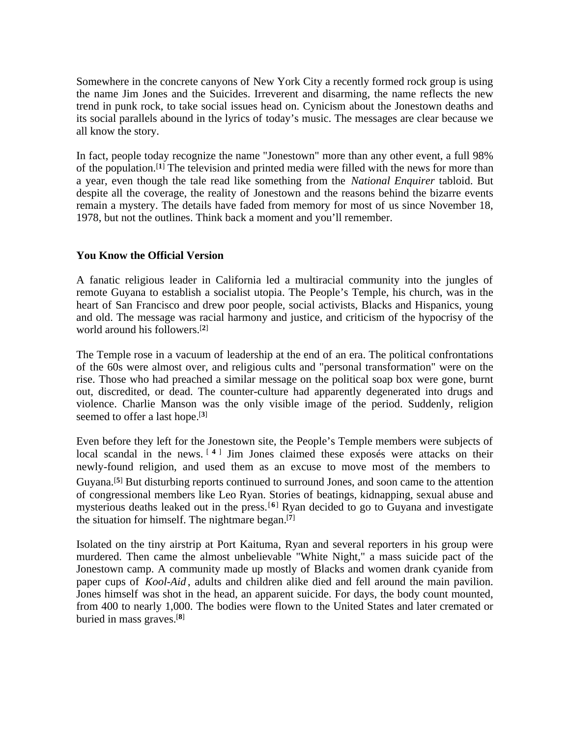Somewhere in the concrete canyons of New York City a recently formed rock group is using the name Jim Jones and the Suicides. Irreverent and disarming, the name reflects the new trend in punk rock, to take social issues head on. Cynicism about the Jonestown deaths and its social parallels abound in the lyrics of today's music. The messages are clear because we all know the story.

In fact, people today recognize the name "Jonestown" more than any other event, a full 98% of the population.[**<sup>1</sup>**] The television and printed media were filled with the news for more than a year, even though the tale read like something from the *National Enquirer* tabloid. But despite all the coverage, the reality of Jonestown and the reasons behind the bizarre events remain a mystery. The details have faded from memory for most of us since November 18, 1978, but not the outlines. Think back a moment and you'll remember.

# **You Know the Official Version**

A fanatic religious leader in California led a multiracial community into the jungles of remote Guyana to establish a socialist utopia. The People's Temple, his church, was in the heart of San Francisco and drew poor people, social activists, Blacks and Hispanics, young and old. The message was racial harmony and justice, and criticism of the hypocrisy of the world around his followers.[**<sup>2</sup>**]

The Temple rose in a vacuum of leadership at the end of an era. The political confrontations of the 60s were almost over, and religious cults and "personal transformation" were on the rise. Those who had preached a similar message on the political soap box were gone, burnt out, discredited, or dead. The counter-culture had apparently degenerated into drugs and violence. Charlie Manson was the only visible image of the period. Suddenly, religion seemed to offer a last hope.[**<sup>3</sup>**]

Even before they left for the Jonestown site, the People's Temple members were subjects of local scandal in the news.<sup>[4]</sup> Jim Jones claimed these exposés were attacks on their newly-found religion, and used them as an excuse to move most of the members to Guyana.[**<sup>5</sup>**] But disturbing reports continued to surround Jones, and soon came to the attention of congressional members like Leo Ryan. Stories of beatings, kidnapping, sexual abuse and mysterious deaths leaked out in the press.[**<sup>6</sup>**] Ryan decided to go to Guyana and investigate the situation for himself. The nightmare began.[**<sup>7</sup>**]

Isolated on the tiny airstrip at Port Kaituma, Ryan and several reporters in his group were murdered. Then came the almost unbelievable "White Night," a mass suicide pact of the Jonestown camp. A community made up mostly of Blacks and women drank cyanide from paper cups of *Kool-Aid* , adults and children alike died and fell around the main pavilion. Jones himself was shot in the head, an apparent suicide. For days, the body count mounted, from 400 to nearly 1,000. The bodies were flown to the United States and later cremated or buried in mass graves.[**8**]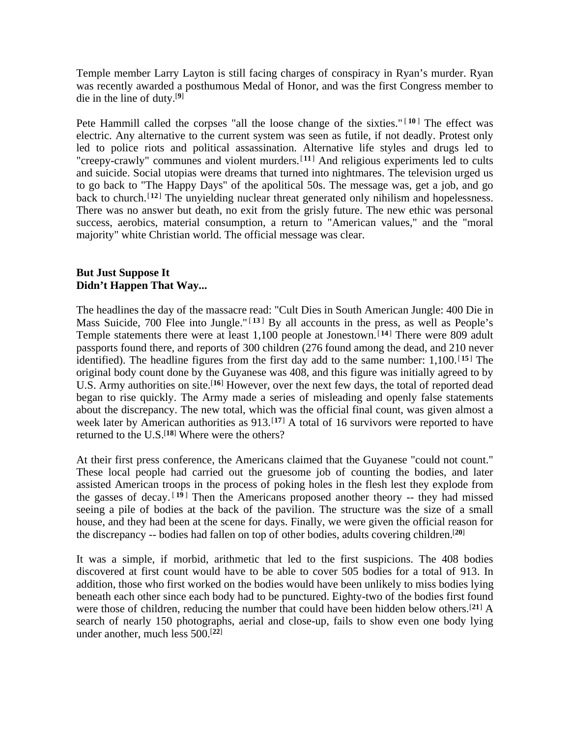Temple member Larry Layton is still facing charges of conspiracy in Ryan's murder. Ryan was recently awarded a posthumous Medal of Honor, and was the first Congress member to die in the line of duty.[**<sup>9</sup>**]

Pete Hammill called the corpses "all the loose change of the sixties."<sup>[10]</sup> The effect was electric. Any alternative to the current system was seen as futile, if not deadly. Protest only led to police riots and political assassination. Alternative life styles and drugs led to "creepy-crawly" communes and violent murders.[ **<sup>11</sup>** ] And religious experiments led to cults and suicide. Social utopias were dreams that turned into nightmares. The television urged us to go back to "The Happy Days" of the apolitical 50s. The message was, get a job, and go back to church.[**<sup>12</sup>**] The unyielding nuclear threat generated only nihilism and hopelessness. There was no answer but death, no exit from the grisly future. The new ethic was personal success, aerobics, material consumption, a return to "American values," and the "moral majority" white Christian world. The official message was clear.

# **But Just Suppose It Didn't Happen That Way...**

The headlines the day of the massacre read: "Cult Dies in South American Jungle: 400 Die in Mass Suicide, 700 Flee into Jungle."<sup>[13]</sup> By all accounts in the press, as well as People's Temple statements there were at least 1,100 people at Jonestown.[**<sup>14</sup>**] There were 809 adult passports found there, and reports of 300 children (276 found among the dead, and 210 never identified). The headline figures from the first day add to the same number:  $1,100$ .<sup>[15]</sup> The original body count done by the Guyanese was 408, and this figure was initially agreed to by U.S. Army authorities on site.<sup>[16]</sup> However, over the next few days, the total of reported dead began to rise quickly. The Army made a series of misleading and openly false statements about the discrepancy. The new total, which was the official final count, was given almost a week later by American authorities as 913.<sup>[17]</sup> A total of 16 survivors were reported to have returned to the U.S.[**<sup>18</sup>**] Where were the others?

At their first press conference, the Americans claimed that the Guyanese "could not count." These local people had carried out the gruesome job of counting the bodies, and later assisted American troops in the process of poking holes in the flesh lest they explode from the gasses of decay. [ **<sup>19</sup>** ] Then the Americans proposed another theory -- they had missed seeing a pile of bodies at the back of the pavilion. The structure was the size of a small house, and they had been at the scene for days. Finally, we were given the official reason for the discrepancy -- bodies had fallen on top of other bodies, adults covering children.[**<sup>20</sup>**]

It was a simple, if morbid, arithmetic that led to the first suspicions. The 408 bodies discovered at first count would have to be able to cover 505 bodies for a total of 913. In addition, those who first worked on the bodies would have been unlikely to miss bodies lying beneath each other since each body had to be punctured. Eighty-two of the bodies first found were those of children, reducing the number that could have been hidden below others.[**<sup>21</sup>**] A search of nearly 150 photographs, aerial and close-up, fails to show even one body lying under another, much less 500.[**22**]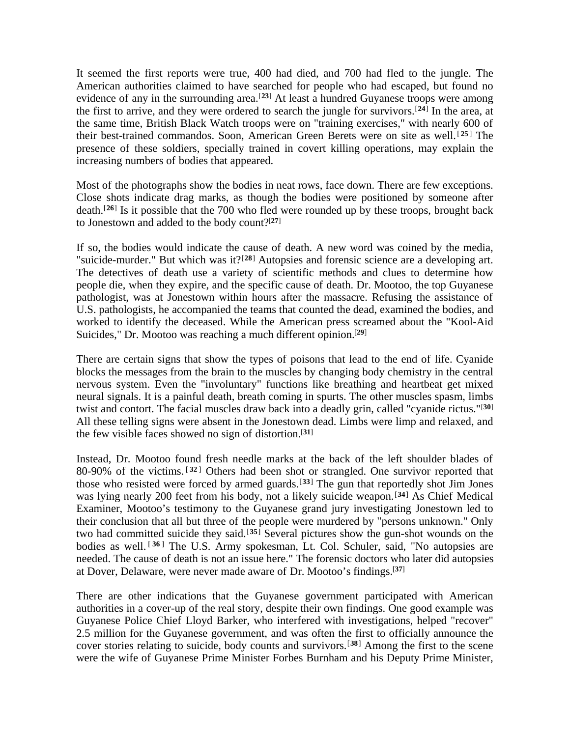It seemed the first reports were true, 400 had died, and 700 had fled to the jungle. The American authorities claimed to have searched for people who had escaped, but found no evidence of any in the surrounding area.<sup>[23]</sup> At least a hundred Guyanese troops were among the first to arrive, and they were ordered to search the jungle for survivors.[**<sup>24</sup>**] In the area, at the same time, British Black Watch troops were on "training exercises," with nearly 600 of their best-trained commandos. Soon, American Green Berets were on site as well.[ **<sup>25</sup>** ] The presence of these soldiers, specially trained in covert killing operations, may explain the increasing numbers of bodies that appeared.

Most of the photographs show the bodies in neat rows, face down. There are few exceptions. Close shots indicate drag marks, as though the bodies were positioned by someone after death.[**<sup>26</sup>**] Is it possible that the 700 who fled were rounded up by these troops, brought back to Jonestown and added to the body count?[**<sup>27</sup>**]

If so, the bodies would indicate the cause of death. A new word was coined by the media, "suicide-murder." But which was it?[**<sup>28</sup>**] Autopsies and forensic science are a developing art. The detectives of death use a variety of scientific methods and clues to determine how people die, when they expire, and the specific cause of death. Dr. Mootoo, the top Guyanese pathologist, was at Jonestown within hours after the massacre. Refusing the assistance of U.S. pathologists, he accompanied the teams that counted the dead, examined the bodies, and worked to identify the deceased. While the American press screamed about the "Kool-Aid Suicides," Dr. Mootoo was reaching a much different opinion.[**<sup>29</sup>**]

There are certain signs that show the types of poisons that lead to the end of life. Cyanide blocks the messages from the brain to the muscles by changing body chemistry in the central nervous system. Even the "involuntary" functions like breathing and heartbeat get mixed neural signals. It is a painful death, breath coming in spurts. The other muscles spasm, limbs twist and contort. The facial muscles draw back into a deadly grin, called "cyanide rictus."[**<sup>30</sup>**] All these telling signs were absent in the Jonestown dead. Limbs were limp and relaxed, and the few visible faces showed no sign of distortion.[**<sup>31</sup>**]

Instead, Dr. Mootoo found fresh needle marks at the back of the left shoulder blades of 80-90% of the victims. [ **<sup>32</sup>** ] Others had been shot or strangled. One survivor reported that those who resisted were forced by armed guards.[**<sup>33</sup>**] The gun that reportedly shot Jim Jones was lying nearly 200 feet from his body, not a likely suicide weapon.[**<sup>34</sup>**] As Chief Medical Examiner, Mootoo's testimony to the Guyanese grand jury investigating Jonestown led to their conclusion that all but three of the people were murdered by "persons unknown." Only two had committed suicide they said.[**<sup>35</sup>**] Several pictures show the gun-shot wounds on the bodies as well.<sup>[36]</sup> The U.S. Army spokesman, Lt. Col. Schuler, said, "No autopsies are needed. The cause of death is not an issue here." The forensic doctors who later did autopsies at Dover, Delaware, were never made aware of Dr. Mootoo's findings.[**<sup>37</sup>**]

There are other indications that the Guyanese government participated with American authorities in a cover-up of the real story, despite their own findings. One good example was Guyanese Police Chief Lloyd Barker, who interfered with investigations, helped "recover" 2.5 million for the Guyanese government, and was often the first to officially announce the cover stories relating to suicide, body counts and survivors.[**<sup>38</sup>**] Among the first to the scene were the wife of Guyanese Prime Minister Forbes Burnham and his Deputy Prime Minister,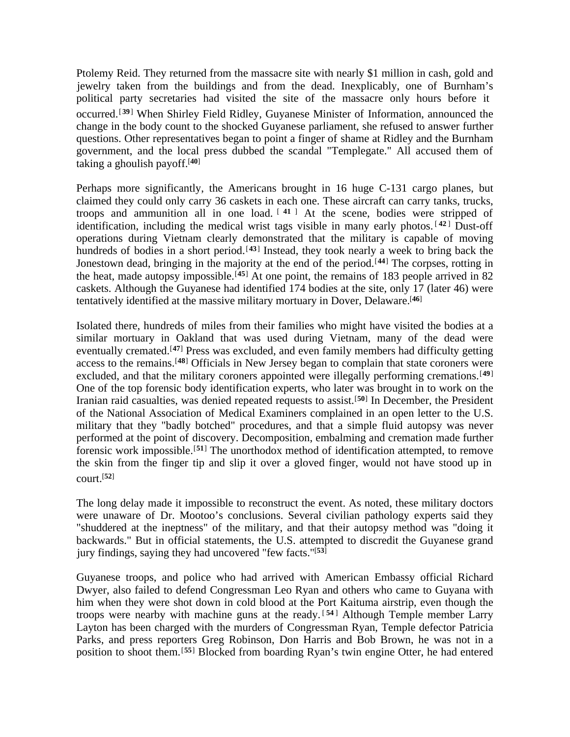Ptolemy Reid. They returned from the massacre site with nearly \$1 million in cash, gold and jewelry taken from the buildings and from the dead. Inexplicably, one of Burnham's political party secretaries had visited the site of the massacre only hours before it occurred.[**<sup>39</sup>**] When Shirley Field Ridley, Guyanese Minister of Information, announced the change in the body count to the shocked Guyanese parliament, she refused to answer further questions. Other representatives began to point a finger of shame at Ridley and the Burnham government, and the local press dubbed the scandal "Templegate." All accused them of taking a ghoulish payoff.[**<sup>40</sup>**]

Perhaps more significantly, the Americans brought in 16 huge C-131 cargo planes, but claimed they could only carry 36 caskets in each one. These aircraft can carry tanks, trucks, troops and ammunition all in one load. [ **<sup>41</sup>** ] At the scene, bodies were stripped of identification, including the medical wrist tags visible in many early photos. [ **<sup>42</sup>** ] Dust-off operations during Vietnam clearly demonstrated that the military is capable of moving hundreds of bodies in a short period.<sup>[43]</sup> Instead, they took nearly a week to bring back the Jonestown dead, bringing in the majority at the end of the period.[**<sup>44</sup>**] The corpses, rotting in the heat, made autopsy impossible.[**<sup>45</sup>**] At one point, the remains of 183 people arrived in 82 caskets. Although the Guyanese had identified 174 bodies at the site, only 17 (later 46) were tentatively identified at the massive military mortuary in Dover, Delaware.[**<sup>46</sup>**]

Isolated there, hundreds of miles from their families who might have visited the bodies at a similar mortuary in Oakland that was used during Vietnam, many of the dead were eventually cremated.<sup>[47]</sup> Press was excluded, and even family members had difficulty getting access to the remains.[**<sup>48</sup>**] Officials in New Jersey began to complain that state coroners were excluded, and that the military coroners appointed were illegally performing cremations.<sup>[49]</sup> One of the top forensic body identification experts, who later was brought in to work on the Iranian raid casualties, was denied repeated requests to assist.[**<sup>50</sup>**] In December, the President of the National Association of Medical Examiners complained in an open letter to the U.S. military that they "badly botched" procedures, and that a simple fluid autopsy was never performed at the point of discovery. Decomposition, embalming and cremation made further forensic work impossible.[**<sup>51</sup>**] The unorthodox method of identification attempted, to remove the skin from the finger tip and slip it over a gloved finger, would not have stood up in court.[**<sup>52</sup>**]

The long delay made it impossible to reconstruct the event. As noted, these military doctors were unaware of Dr. Mootoo's conclusions. Several civilian pathology experts said they "shuddered at the ineptness" of the military, and that their autopsy method was "doing it backwards." But in official statements, the U.S. attempted to discredit the Guyanese grand jury findings, saying they had uncovered "few facts."[**<sup>53</sup>**]

Guyanese troops, and police who had arrived with American Embassy official Richard Dwyer, also failed to defend Congressman Leo Ryan and others who came to Guyana with him when they were shot down in cold blood at the Port Kaituma airstrip, even though the troops were nearby with machine guns at the ready. [ **<sup>54</sup>** ] Although Temple member Larry Layton has been charged with the murders of Congressman Ryan, Temple defector Patricia Parks, and press reporters Greg Robinson, Don Harris and Bob Brown, he was not in a position to shoot them.[**<sup>55</sup>**] Blocked from boarding Ryan's twin engine Otter, he had entered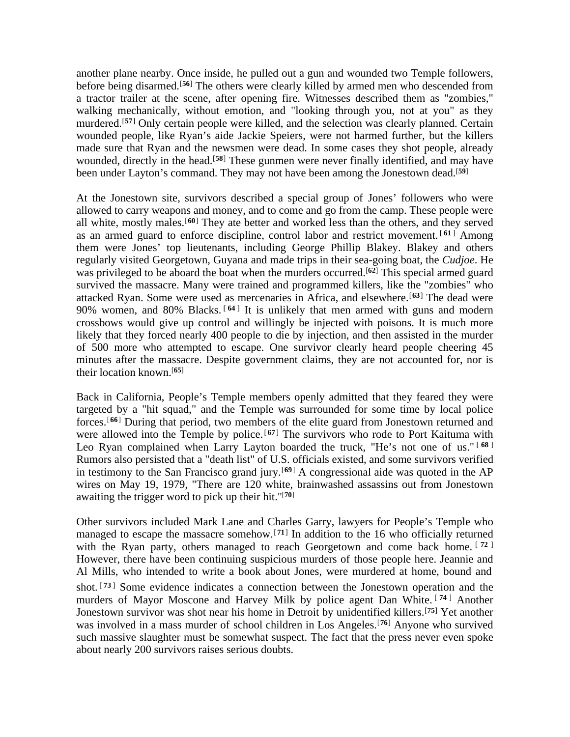another plane nearby. Once inside, he pulled out a gun and wounded two Temple followers, before being disarmed.[**<sup>56</sup>**] The others were clearly killed by armed men who descended from a tractor trailer at the scene, after opening fire. Witnesses described them as "zombies," walking mechanically, without emotion, and "looking through you, not at you" as they murdered.<sup>[57]</sup> Only certain people were killed, and the selection was clearly planned. Certain wounded people, like Ryan's aide Jackie Speiers, were not harmed further, but the killers made sure that Ryan and the newsmen were dead. In some cases they shot people, already wounded, directly in the head.<sup>[58]</sup> These gunmen were never finally identified, and may have been under Layton's command. They may not have been among the Jonestown dead.[**<sup>59</sup>**]

At the Jonestown site, survivors described a special group of Jones' followers who were allowed to carry weapons and money, and to come and go from the camp. These people were all white, mostly males.<sup>[60]</sup> They ate better and worked less than the others, and they served as an armed guard to enforce discipline, control labor and restrict movement. [ **<sup>61</sup>** ] Among them were Jones' top lieutenants, including George Phillip Blakey. Blakey and others regularly visited Georgetown, Guyana and made trips in their sea-going boat, the *Cudjoe*. He was privileged to be aboard the boat when the murders occurred.[**<sup>62</sup>**] This special armed guard survived the massacre. Many were trained and programmed killers, like the "zombies" who attacked Ryan. Some were used as mercenaries in Africa, and elsewhere.[**<sup>63</sup>**] The dead were 90% women, and 80% Blacks.<sup>[64]</sup> It is unlikely that men armed with guns and modern crossbows would give up control and willingly be injected with poisons. It is much more likely that they forced nearly 400 people to die by injection, and then assisted in the murder of 500 more who attempted to escape. One survivor clearly heard people cheering 45 minutes after the massacre. Despite government claims, they are not accounted for, nor is their location known.[**<sup>65</sup>**]

Back in California, People's Temple members openly admitted that they feared they were targeted by a "hit squad," and the Temple was surrounded for some time by local police forces.[**<sup>66</sup>**] During that period, two members of the elite guard from Jonestown returned and were allowed into the Temple by police.<sup>[67]</sup> The survivors who rode to Port Kaituma with Leo Ryan complained when Larry Layton boarded the truck, "He's not one of us." [ **<sup>68</sup>** ] Rumors also persisted that a "death list" of U.S. officials existed, and some survivors verified in testimony to the San Francisco grand jury.[**<sup>69</sup>**] A congressional aide was quoted in the AP wires on May 19, 1979, "There are 120 white, brainwashed assassins out from Jonestown awaiting the trigger word to pick up their hit."[**<sup>70</sup>**]

Other survivors included Mark Lane and Charles Garry, lawyers for People's Temple who managed to escape the massacre somehow.[**<sup>71</sup>**] In addition to the 16 who officially returned with the Ryan party, others managed to reach Georgetown and come back home. <sup>[72]</sup> However, there have been continuing suspicious murders of those people here. Jeannie and Al Mills, who intended to write a book about Jones, were murdered at home, bound and shot.<sup>[73]</sup> Some evidence indicates a connection between the Jonestown operation and the murders of Mayor Moscone and Harvey Milk by police agent Dan White. [ **<sup>74</sup>** ] Another Jonestown survivor was shot near his home in Detroit by unidentified killers.[**<sup>75</sup>**] Yet another was involved in a mass murder of school children in Los Angeles.<sup>[76]</sup> Anyone who survived such massive slaughter must be somewhat suspect. The fact that the press never even spoke about nearly 200 survivors raises serious doubts.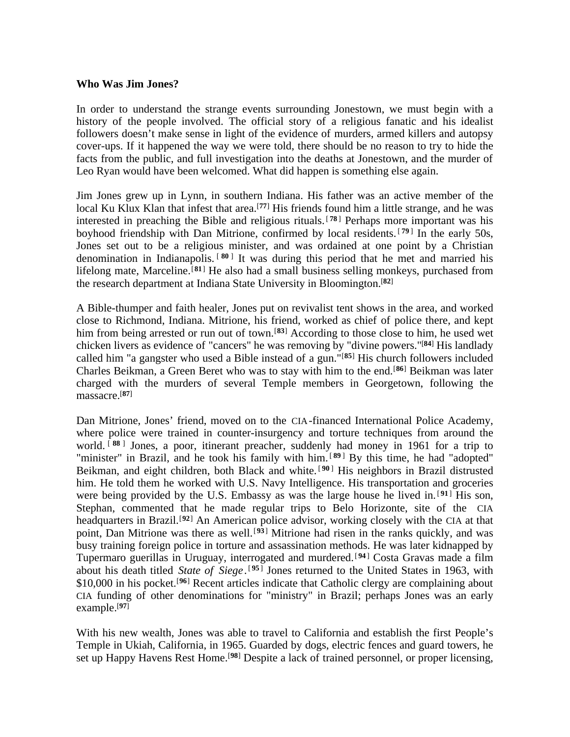#### **Who Was Jim Jones?**

In order to understand the strange events surrounding Jonestown, we must begin with a history of the people involved. The official story of a religious fanatic and his idealist followers doesn't make sense in light of the evidence of murders, armed killers and autopsy cover-ups. If it happened the way we were told, there should be no reason to try to hide the facts from the public, and full investigation into the deaths at Jonestown, and the murder of Leo Ryan would have been welcomed. What did happen is something else again.

Jim Jones grew up in Lynn, in southern Indiana. His father was an active member of the local Ku Klux Klan that infest that area.<sup>[77]</sup> His friends found him a little strange, and he was interested in preaching the Bible and religious rituals. [ **<sup>78</sup>** ] Perhaps more important was his boyhood friendship with Dan Mitrione, confirmed by local residents. [ **<sup>79</sup>** ] In the early 50s, Jones set out to be a religious minister, and was ordained at one point by a Christian denomination in Indianapolis. [ **<sup>80</sup>** ] It was during this period that he met and married his lifelong mate, Marceline.<sup>[81]</sup> He also had a small business selling monkeys, purchased from the research department at Indiana State University in Bloomington.[**<sup>82</sup>**]

A Bible-thumper and faith healer, Jones put on revivalist tent shows in the area, and worked close to Richmond, Indiana. Mitrione, his friend, worked as chief of police there, and kept him from being arrested or run out of town.[**<sup>83</sup>**] According to those close to him, he used wet chicken livers as evidence of "cancers" he was removing by "divine powers."[**<sup>84</sup>**] His landlady called him "a gangster who used a Bible instead of a gun."[**<sup>85</sup>**] His church followers included Charles Beikman, a Green Beret who was to stay with him to the end.[**<sup>86</sup>**] Beikman was later charged with the murders of several Temple members in Georgetown, following the massacre.[**<sup>87</sup>**]

Dan Mitrione, Jones' friend, moved on to the CIA-financed International Police Academy, where police were trained in counter-insurgency and torture techniques from around the world. [ **<sup>88</sup>** ] Jones, a poor, itinerant preacher, suddenly had money in 1961 for a trip to "minister" in Brazil, and he took his family with him. <sup>[89]</sup> By this time, he had "adopted" Beikman, and eight children, both Black and white. [ **<sup>90</sup>** ] His neighbors in Brazil distrusted him. He told them he worked with U.S. Navy Intelligence. His transportation and groceries were being provided by the U.S. Embassy as was the large house he lived in.<sup>[91]</sup> His son, Stephan, commented that he made regular trips to Belo Horizonte, site of the CIA headquarters in Brazil.[**<sup>92</sup>**] An American police advisor, working closely with the CIA at that point, Dan Mitrione was there as well.[**<sup>93</sup>**] Mitrione had risen in the ranks quickly, and was busy training foreign police in torture and assassination methods. He was later kidnapped by Tupermaro guerillas in Uruguay, interrogated and murdered.[ **<sup>94</sup>** ] Costa Gravas made a film about his death titled *State of Siege*.<sup>[95]</sup> Jones returned to the United States in 1963, with \$10,000 in his pocket.<sup>[96]</sup> Recent articles indicate that Catholic clergy are complaining about CIA funding of other denominations for "ministry" in Brazil; perhaps Jones was an early example.[**<sup>97</sup>**]

With his new wealth, Jones was able to travel to California and establish the first People's Temple in Ukiah, California, in 1965. Guarded by dogs, electric fences and guard towers, he set up Happy Havens Rest Home.[**<sup>98</sup>**] Despite a lack of trained personnel, or proper licensing,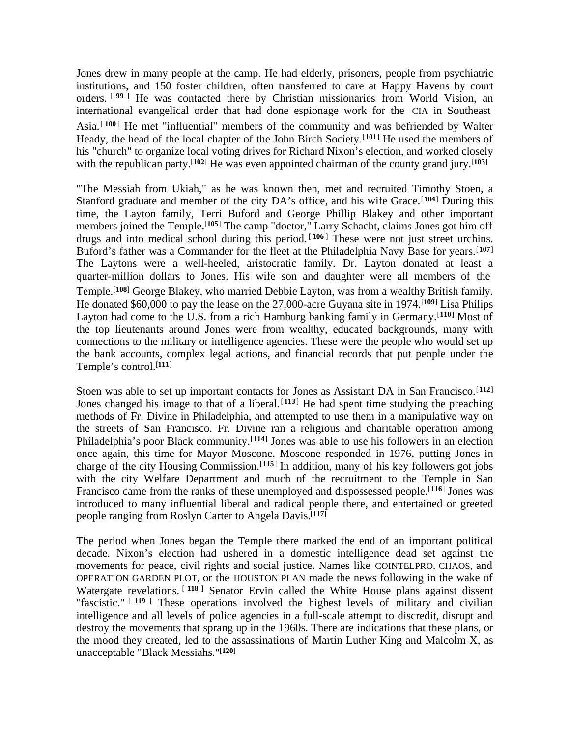Jones drew in many people at the camp. He had elderly, prisoners, people from psychiatric institutions, and 150 foster children, often transferred to care at Happy Havens by court orders. [ **<sup>99</sup>** ] He was contacted there by Christian missionaries from World Vision, an international evangelical order that had done espionage work for the CIA in Southeast Asia.<sup>[100]</sup> He met "influential" members of the community and was befriended by Walter Heady, the head of the local chapter of the John Birch Society.[**<sup>101</sup>**] He used the members of his "church" to organize local voting drives for Richard Nixon's election, and worked closely with the republican party.<sup>[102]</sup> He was even appointed chairman of the county grand jury.<sup>[103]</sup>

"The Messiah from Ukiah," as he was known then, met and recruited Timothy Stoen, a Stanford graduate and member of the city DA's office, and his wife Grace.<sup>[104]</sup> During this time, the Layton family, Terri Buford and George Phillip Blakey and other important members joined the Temple.[**<sup>105</sup>**] The camp "doctor," Larry Schacht, claims Jones got him off drugs and into medical school during this period.<sup>[106]</sup> These were not just street urchins. Buford's father was a Commander for the fleet at the Philadelphia Navy Base for years.[**<sup>107</sup>**] The Laytons were a well-heeled, aristocratic family. Dr. Layton donated at least a quarter-million dollars to Jones. His wife son and daughter were all members of the Temple.<sup>[108]</sup> George Blakey, who married Debbie Layton, was from a wealthy British family. He donated \$60,000 to pay the lease on the 27,000-acre Guyana site in 1974.[**<sup>109</sup>**] Lisa Philips Layton had come to the U.S. from a rich Hamburg banking family in Germany.[**<sup>110</sup>**] Most of the top lieutenants around Jones were from wealthy, educated backgrounds, many with connections to the military or intelligence agencies. These were the people who would set up the bank accounts, complex legal actions, and financial records that put people under the Temple's control.[**<sup>111</sup>**]

Stoen was able to set up important contacts for Jones as Assistant DA in San Francisco.[**<sup>112</sup>**] Jones changed his image to that of a liberal.<sup>[113]</sup> He had spent time studying the preaching methods of Fr. Divine in Philadelphia, and attempted to use them in a manipulative way on the streets of San Francisco. Fr. Divine ran a religious and charitable operation among Philadelphia's poor Black community.<sup>[114]</sup> Jones was able to use his followers in an election once again, this time for Mayor Moscone. Moscone responded in 1976, putting Jones in charge of the city Housing Commission.[**<sup>115</sup>**] In addition, many of his key followers got jobs with the city Welfare Department and much of the recruitment to the Temple in San Francisco came from the ranks of these unemployed and dispossessed people.<sup>[116]</sup> Jones was introduced to many influential liberal and radical people there, and entertained or greeted people ranging from Roslyn Carter to Angela Davis.[**<sup>117</sup>**]

The period when Jones began the Temple there marked the end of an important political decade. Nixon's election had ushered in a domestic intelligence dead set against the movements for peace, civil rights and social justice. Names like COINTELPRO, CHAOS, and OPERATION GARDEN PLOT, or the HOUSTON PLAN made the news following in the wake of Watergate revelations. [118] Senator Ervin called the White House plans against dissent "fascistic." [ **<sup>119</sup>** ] These operations involved the highest levels of military and civilian intelligence and all levels of police agencies in a full-scale attempt to discredit, disrupt and destroy the movements that sprang up in the 1960s. There are indications that these plans, or the mood they created, led to the assassinations of Martin Luther King and Malcolm X, as unacceptable "Black Messiahs."[**120**]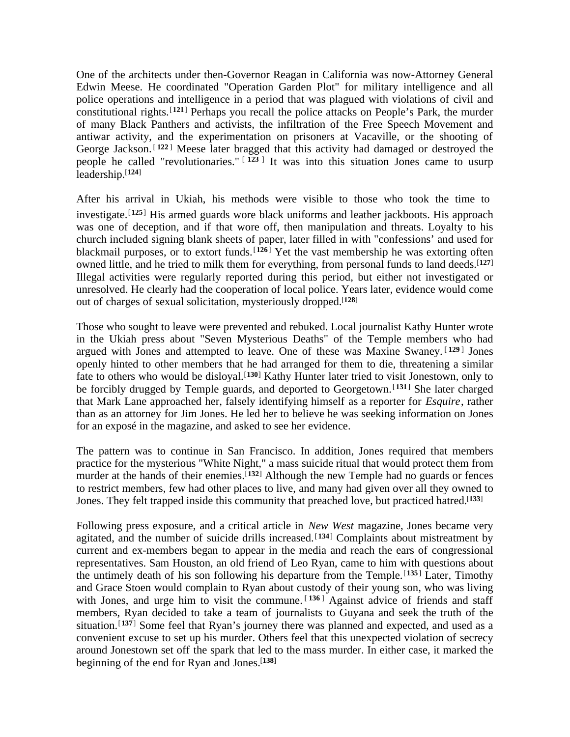One of the architects under then-Governor Reagan in California was now-Attorney General Edwin Meese. He coordinated "Operation Garden Plot" for military intelligence and all police operations and intelligence in a period that was plagued with violations of civil and constitutional rights.[**<sup>121</sup>**] Perhaps you recall the police attacks on People's Park, the murder of many Black Panthers and activists, the infiltration of the Free Speech Movement and antiwar activity, and the experimentation on prisoners at Vacaville, or the shooting of George Jackson. [122] Meese later bragged that this activity had damaged or destroyed the people he called "revolutionaries." [ **<sup>123</sup>** ] It was into this situation Jones came to usurp leadership.[**<sup>124</sup>**]

After his arrival in Ukiah, his methods were visible to those who took the time to investigate.[**<sup>125</sup>**] His armed guards wore black uniforms and leather jackboots. His approach was one of deception, and if that wore off, then manipulation and threats. Loyalty to his church included signing blank sheets of paper, later filled in with "confessions' and used for blackmail purposes, or to extort funds.[**<sup>126</sup>**] Yet the vast membership he was extorting often owned little, and he tried to milk them for everything, from personal funds to land deeds.[**<sup>127</sup>**] Illegal activities were regularly reported during this period, but either not investigated or unresolved. He clearly had the cooperation of local police. Years later, evidence would come out of charges of sexual solicitation, mysteriously dropped.[**<sup>128</sup>**]

Those who sought to leave were prevented and rebuked. Local journalist Kathy Hunter wrote in the Ukiah press about "Seven Mysterious Deaths" of the Temple members who had argued with Jones and attempted to leave. One of these was Maxine Swaney. [ **<sup>129</sup>** ] Jones openly hinted to other members that he had arranged for them to die, threatening a similar fate to others who would be disloyal.<sup>[130]</sup> Kathy Hunter later tried to visit Jonestown, only to be forcibly drugged by Temple guards, and deported to Georgetown.[**<sup>131</sup>**] She later charged that Mark Lane approached her, falsely identifying himself as a reporter for *Esquire*, rather than as an attorney for Jim Jones. He led her to believe he was seeking information on Jones for an exposé in the magazine, and asked to see her evidence.

The pattern was to continue in San Francisco. In addition, Jones required that members practice for the mysterious "White Night," a mass suicide ritual that would protect them from murder at the hands of their enemies.<sup>[132]</sup> Although the new Temple had no guards or fences to restrict members, few had other places to live, and many had given over all they owned to Jones. They felt trapped inside this community that preached love, but practiced hatred.[**<sup>133</sup>**]

Following press exposure, and a critical article in *New West* magazine, Jones became very agitated, and the number of suicide drills increased.[**<sup>134</sup>**] Complaints about mistreatment by current and ex-members began to appear in the media and reach the ears of congressional representatives. Sam Houston, an old friend of Leo Ryan, came to him with questions about the untimely death of his son following his departure from the Temple.[**<sup>135</sup>**] Later, Timothy and Grace Stoen would complain to Ryan about custody of their young son, who was living with Jones, and urge him to visit the commune.<sup>[136]</sup> Against advice of friends and staff members, Ryan decided to take a team of journalists to Guyana and seek the truth of the situation.<sup>[137]</sup> Some feel that Ryan's journey there was planned and expected, and used as a convenient excuse to set up his murder. Others feel that this unexpected violation of secrecy around Jonestown set off the spark that led to the mass murder. In either case, it marked the beginning of the end for Ryan and Jones.[**138**]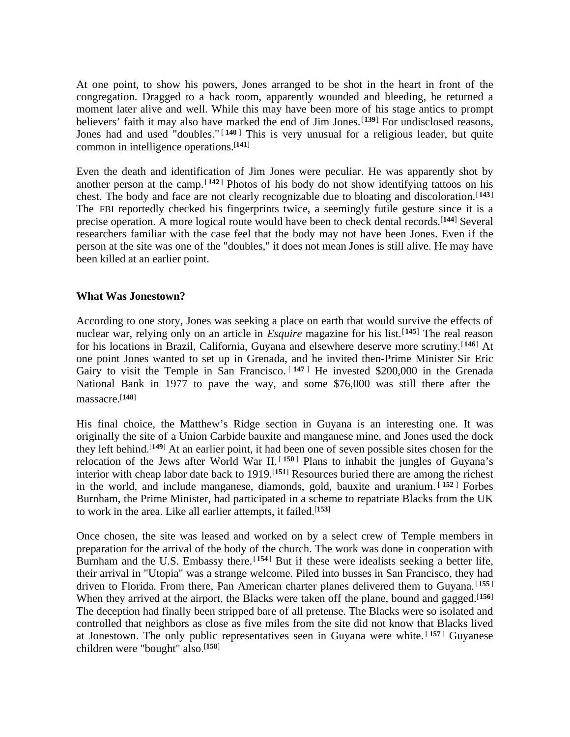At one point, to show his powers, Jones arranged to be shot in the heart in front of the congregation. Dragged to a back room, apparently wounded and bleeding, he returned a moment later alive and well. While this may have been more of his stage antics to prompt believers' faith it may also have marked the end of Jim Jones.[**<sup>139</sup>**] For undisclosed reasons, Jones had and used "doubles." [ **<sup>140</sup>** ] This is very unusual for a religious leader, but quite common in intelligence operations.[**<sup>141</sup>**]

Even the death and identification of Jim Jones were peculiar. He was apparently shot by another person at the camp.<sup>[142]</sup> Photos of his body do not show identifying tattoos on his chest. The body and face are not clearly recognizable due to bloating and discoloration.[**<sup>143</sup>**] The FBI reportedly checked his fingerprints twice, a seemingly futile gesture since it is a precise operation. A more logical route would have been to check dental records.<sup>[144]</sup> Several researchers familiar with the case feel that the body may not have been Jones. Even if the person at the site was one of the "doubles," it does not mean Jones is still alive. He may have been killed at an earlier point.

#### **What Was Jonestown?**

According to one story, Jones was seeking a place on earth that would survive the effects of nuclear war, relying only on an article in *Esquire* magazine for his list.<sup>[145]</sup> The real reason for his locations in Brazil, California, Guyana and elsewhere deserve more scrutiny.[**<sup>146</sup>**] At one point Jones wanted to set up in Grenada, and he invited then-Prime Minister Sir Eric Gairy to visit the Temple in San Francisco.<sup>[147]</sup> He invested \$200,000 in the Grenada National Bank in 1977 to pave the way, and some \$76,000 was still there after the massacre.[**<sup>148</sup>**]

His final choice, the Matthew's Ridge section in Guyana is an interesting one. It was originally the site of a Union Carbide bauxite and manganese mine, and Jones used the dock they left behind.[**<sup>149</sup>**] At an earlier point, it had been one of seven possible sites chosen for the relocation of the Jews after World War II.<sup>[150]</sup> Plans to inhabit the jungles of Guyana's interior with cheap labor date back to 1919.[**<sup>151</sup>**] Resources buried there are among the richest in the world, and include manganese, diamonds, gold, bauxite and uranium. [ **<sup>152</sup>** ] Forbes Burnham, the Prime Minister, had participated in a scheme to repatriate Blacks from the UK to work in the area. Like all earlier attempts, it failed.[**<sup>153</sup>**]

Once chosen, the site was leased and worked on by a select crew of Temple members in preparation for the arrival of the body of the church. The work was done in cooperation with Burnham and the U.S. Embassy there.<sup>[154]</sup> But if these were idealists seeking a better life, their arrival in "Utopia" was a strange welcome. Piled into busses in San Francisco, they had driven to Florida. From there, Pan American charter planes delivered them to Guyana.[ **<sup>155</sup>** ] When they arrived at the airport, the Blacks were taken off the plane, bound and gagged.[**<sup>156</sup>**] The deception had finally been stripped bare of all pretense. The Blacks were so isolated and controlled that neighbors as close as five miles from the site did not know that Blacks lived at Jonestown. The only public representatives seen in Guyana were white. [ **<sup>157</sup>** ] Guyanese children were "bought" also.[**158**]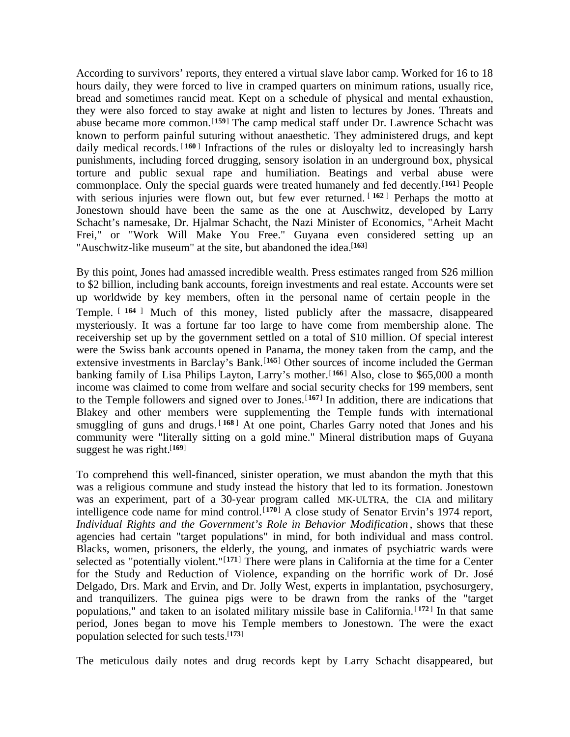According to survivors' reports, they entered a virtual slave labor camp. Worked for 16 to 18 hours daily, they were forced to live in cramped quarters on minimum rations, usually rice, bread and sometimes rancid meat. Kept on a schedule of physical and mental exhaustion, they were also forced to stay awake at night and listen to lectures by Jones. Threats and abuse became more common.<sup>[159]</sup> The camp medical staff under Dr. Lawrence Schacht was known to perform painful suturing without anaesthetic. They administered drugs, and kept daily medical records. [160] Infractions of the rules or disloyalty led to increasingly harsh punishments, including forced drugging, sensory isolation in an underground box, physical torture and public sexual rape and humiliation. Beatings and verbal abuse were commonplace. Only the special guards were treated humanely and fed decently.<sup>[161]</sup> People with serious injuries were flown out, but few ever returned. <sup>[162]</sup> Perhaps the motto at Jonestown should have been the same as the one at Auschwitz, developed by Larry Schacht's namesake, Dr. Hjalmar Schacht, the Nazi Minister of Economics, "Arheit Macht Frei," or "Work Will Make You Free." Guyana even considered setting up an "Auschwitz-like museum" at the site, but abandoned the idea.<sup>[163]</sup>

By this point, Jones had amassed incredible wealth. Press estimates ranged from \$26 million to \$2 billion, including bank accounts, foreign investments and real estate. Accounts were set up worldwide by key members, often in the personal name of certain people in the Temple. [ **<sup>164</sup>** ] Much of this money, listed publicly after the massacre, disappeared mysteriously. It was a fortune far too large to have come from membership alone. The receivership set up by the government settled on a total of \$10 million. Of special interest were the Swiss bank accounts opened in Panama, the money taken from the camp, and the extensive investments in Barclay's Bank.<sup>[165]</sup> Other sources of income included the German banking family of Lisa Philips Layton, Larry's mother.<sup>[166]</sup> Also, close to \$65,000 a month income was claimed to come from welfare and social security checks for 199 members, sent to the Temple followers and signed over to Jones.[**<sup>167</sup>**] In addition, there are indications that Blakey and other members were supplementing the Temple funds with international smuggling of guns and drugs. [168] At one point, Charles Garry noted that Jones and his community were "literally sitting on a gold mine." Mineral distribution maps of Guyana suggest he was right.[**<sup>169</sup>**]

To comprehend this well-financed, sinister operation, we must abandon the myth that this was a religious commune and study instead the history that led to its formation. Jonestown was an experiment, part of a 30-year program called MK-ULTRA, the CIA and military intelligence code name for mind control.[**<sup>170</sup>**] A close study of Senator Ervin's 1974 report, *Individual Rights and the Government's Role in Behavior Modification* , shows that these agencies had certain "target populations" in mind, for both individual and mass control. Blacks, women, prisoners, the elderly, the young, and inmates of psychiatric wards were selected as "potentially violent."[**<sup>171</sup>**] There were plans in California at the time for a Center for the Study and Reduction of Violence, expanding on the horrific work of Dr. José Delgado, Drs. Mark and Ervin, and Dr. Jolly West, experts in implantation, psychosurgery, and tranquilizers. The guinea pigs were to be drawn from the ranks of the "target populations," and taken to an isolated military missile base in California.<sup>[172]</sup> In that same period, Jones began to move his Temple members to Jonestown. The were the exact population selected for such tests.[**<sup>173</sup>**]

The meticulous daily notes and drug records kept by Larry Schacht disappeared, but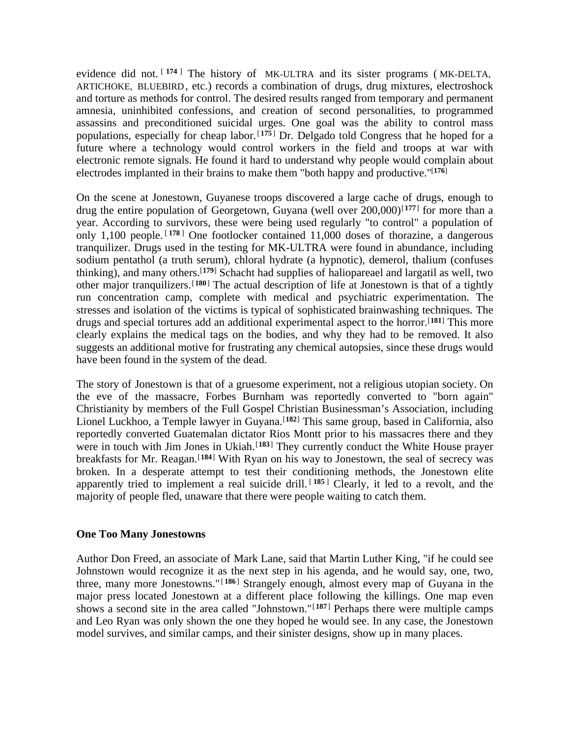evidence did not. [174] The history of MK-ULTRA and its sister programs (MK-DELTA, ARTICHOKE, BLUEBIRD, etc.) records a combination of drugs, drug mixtures, electroshock and torture as methods for control. The desired results ranged from temporary and permanent amnesia, uninhibited confessions, and creation of second personalities, to programmed assassins and preconditioned suicidal urges. One goal was the ability to control mass populations, especially for cheap labor.<sup>[175]</sup> Dr. Delgado told Congress that he hoped for a future where a technology would control workers in the field and troops at war with electronic remote signals. He found it hard to understand why people would complain about electrodes implanted in their brains to make them "both happy and productive."[**<sup>176</sup>**]

On the scene at Jonestown, Guyanese troops discovered a large cache of drugs, enough to drug the entire population of Georgetown, Guyana (well over 200,000)<sup>[177]</sup> for more than a year. According to survivors, these were being used regularly "to control" a population of only 1,100 people.  $[178]$  One footlocker contained 11,000 doses of thorazine, a dangerous tranquilizer. Drugs used in the testing for MK-ULTRA were found in abundance, including sodium pentathol (a truth serum), chloral hydrate (a hypnotic), demerol, thalium (confuses thinking), and many others.[**<sup>179</sup>**] Schacht had supplies of haliopareael and largatil as well, two other major tranquilizers.[**<sup>180</sup>**] The actual description of life at Jonestown is that of a tightly run concentration camp, complete with medical and psychiatric experimentation. The stresses and isolation of the victims is typical of sophisticated brainwashing techniques. The drugs and special tortures add an additional experimental aspect to the horror.[**<sup>181</sup>**] This more clearly explains the medical tags on the bodies, and why they had to be removed. It also suggests an additional motive for frustrating any chemical autopsies, since these drugs would have been found in the system of the dead.

The story of Jonestown is that of a gruesome experiment, not a religious utopian society. On the eve of the massacre, Forbes Burnham was reportedly converted to "born again" Christianity by members of the Full Gospel Christian Businessman's Association, including Lionel Luckhoo, a Temple lawyer in Guyana.<sup>[182]</sup> This same group, based in California, also reportedly converted Guatemalan dictator Rios Montt prior to his massacres there and they were in touch with Jim Jones in Ukiah.<sup>[183]</sup> They currently conduct the White House prayer breakfasts for Mr. Reagan.[**<sup>184</sup>**] With Ryan on his way to Jonestown, the seal of secrecy was broken. In a desperate attempt to test their conditioning methods, the Jonestown elite apparently tried to implement a real suicide drill. [185] Clearly, it led to a revolt, and the majority of people fled, unaware that there were people waiting to catch them.

#### **One Too Many Jonestowns**

Author Don Freed, an associate of Mark Lane, said that Martin Luther King, "if he could see Johnstown would recognize it as the next step in his agenda, and he would say, one, two, three, many more Jonestowns." [ **<sup>186</sup>** ] Strangely enough, almost every map of Guyana in the major press located Jonestown at a different place following the killings. One map even shows a second site in the area called "Johnstown."[**<sup>187</sup>**] Perhaps there were multiple camps and Leo Ryan was only shown the one they hoped he would see. In any case, the Jonestown model survives, and similar camps, and their sinister designs, show up in many places.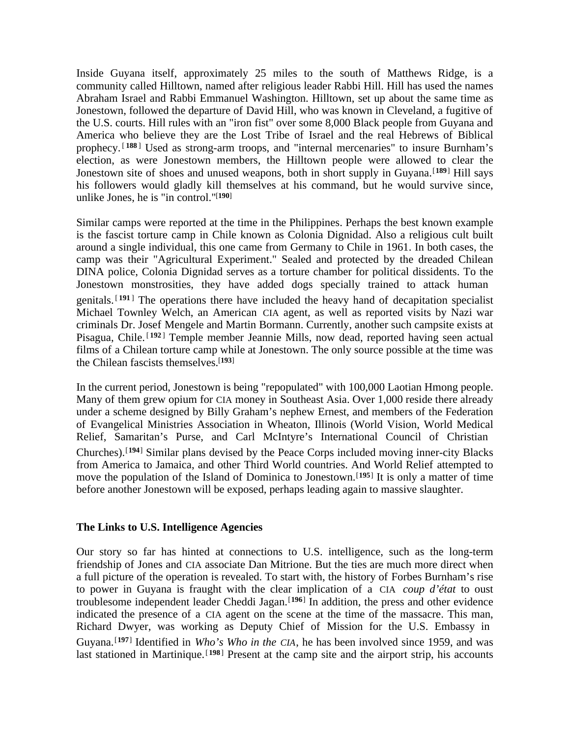Inside Guyana itself, approximately 25 miles to the south of Matthews Ridge, is a community called Hilltown, named after religious leader Rabbi Hill. Hill has used the names Abraham Israel and Rabbi Emmanuel Washington. Hilltown, set up about the same time as Jonestown, followed the departure of David Hill, who was known in Cleveland, a fugitive of the U.S. courts. Hill rules with an "iron fist" over some 8,000 Black people from Guyana and America who believe they are the Lost Tribe of Israel and the real Hebrews of Biblical prophecy.<sup>[188]</sup> Used as strong-arm troops, and "internal mercenaries" to insure Burnham's election, as were Jonestown members, the Hilltown people were allowed to clear the Jonestown site of shoes and unused weapons, both in short supply in Guyana.<sup>[189]</sup> Hill says his followers would gladly kill themselves at his command, but he would survive since, unlike Jones, he is "in control."[**<sup>190</sup>**]

Similar camps were reported at the time in the Philippines. Perhaps the best known example is the fascist torture camp in Chile known as Colonia Dignidad. Also a religious cult built around a single individual, this one came from Germany to Chile in 1961. In both cases, the camp was their "Agricultural Experiment." Sealed and protected by the dreaded Chilean DINA police, Colonia Dignidad serves as a torture chamber for political dissidents. To the Jonestown monstrosities, they have added dogs specially trained to attack human genitals. [ **<sup>191</sup>** ] The operations there have included the heavy hand of decapitation specialist Michael Townley Welch, an American CIA agent, as well as reported visits by Nazi war criminals Dr. Josef Mengele and Martin Bormann. Currently, another such campsite exists at Pisagua, Chile.<sup>[192]</sup> Temple member Jeannie Mills, now dead, reported having seen actual films of a Chilean torture camp while at Jonestown. The only source possible at the time was the Chilean fascists themselves.[**<sup>193</sup>**]

In the current period, Jonestown is being "repopulated" with 100,000 Laotian Hmong people. Many of them grew opium for CIA money in Southeast Asia. Over 1,000 reside there already under a scheme designed by Billy Graham's nephew Ernest, and members of the Federation of Evangelical Ministries Association in Wheaton, Illinois (World Vision, World Medical Relief, Samaritan's Purse, and Carl McIntyre's International Council of Christian Churches).[**<sup>194</sup>**] Similar plans devised by the Peace Corps included moving inner-city Blacks from America to Jamaica, and other Third World countries. And World Relief attempted to move the population of the Island of Dominica to Jonestown.[**<sup>195</sup>**] It is only a matter of time before another Jonestown will be exposed, perhaps leading again to massive slaughter.

# **The Links to U.S. Intelligence Agencies**

Our story so far has hinted at connections to U.S. intelligence, such as the long-term friendship of Jones and CIA associate Dan Mitrione. But the ties are much more direct when a full picture of the operation is revealed. To start with, the history of Forbes Burnham's rise to power in Guyana is fraught with the clear implication of a CIA *coup d'état* to oust troublesome independent leader Cheddi Jagan.<sup>[196]</sup> In addition, the press and other evidence indicated the presence of a CIA agent on the scene at the time of the massacre. This man, Richard Dwyer, was working as Deputy Chief of Mission for the U.S. Embassy in Guyana.<sup>[197]</sup> Identified in *Who's Who in the CIA*, he has been involved since 1959, and was last stationed in Martinique.<sup>[198]</sup> Present at the camp site and the airport strip, his accounts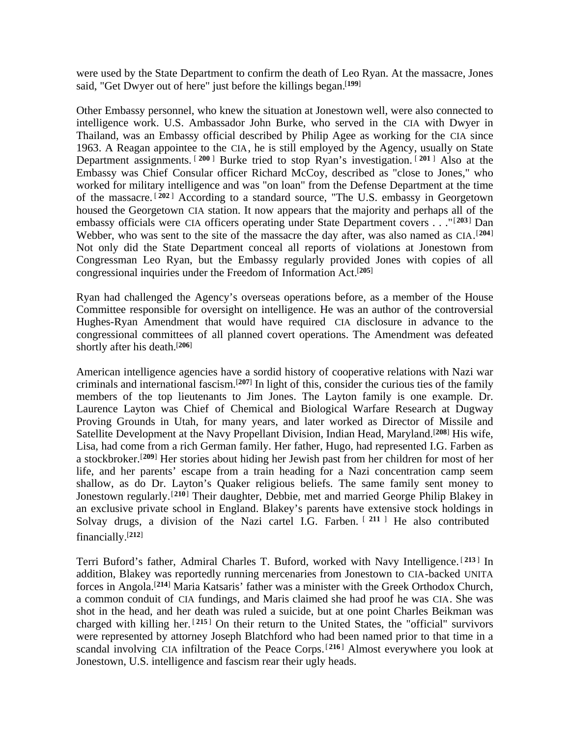were used by the State Department to confirm the death of Leo Ryan. At the massacre, Jones said, "Get Dwyer out of here" just before the killings began.[**<sup>199</sup>**]

Other Embassy personnel, who knew the situation at Jonestown well, were also connected to intelligence work. U.S. Ambassador John Burke, who served in the CIA with Dwyer in Thailand, was an Embassy official described by Philip Agee as working for the CIA since 1963. A Reagan appointee to the CIA, he is still employed by the Agency, usually on State Department assignments. [ **<sup>200</sup>** ] Burke tried to stop Ryan's investigation. [ **<sup>201</sup>** ] Also at the Embassy was Chief Consular officer Richard McCoy, described as "close to Jones," who worked for military intelligence and was "on loan" from the Defense Department at the time of the massacre. [ **<sup>202</sup>** ] According to a standard source, "The U.S. embassy in Georgetown housed the Georgetown CIA station. It now appears that the majority and perhaps all of the embassy officials were CIA officers operating under State Department covers . . ."[**<sup>203</sup>**] Dan Webber, who was sent to the site of the massacre the day after, was also named as CIA.<sup>[204]</sup> Not only did the State Department conceal all reports of violations at Jonestown from Congressman Leo Ryan, but the Embassy regularly provided Jones with copies of all congressional inquiries under the Freedom of Information Act.[**<sup>205</sup>**]

Ryan had challenged the Agency's overseas operations before, as a member of the House Committee responsible for oversight on intelligence. He was an author of the controversial Hughes-Ryan Amendment that would have required CIA disclosure in advance to the congressional committees of all planned covert operations. The Amendment was defeated shortly after his death.[**<sup>206</sup>**]

American intelligence agencies have a sordid history of cooperative relations with Nazi war criminals and international fascism.[**<sup>207</sup>**] In light of this, consider the curious ties of the family members of the top lieutenants to Jim Jones. The Layton family is one example. Dr. Laurence Layton was Chief of Chemical and Biological Warfare Research at Dugway Proving Grounds in Utah, for many years, and later worked as Director of Missile and Satellite Development at the Navy Propellant Division, Indian Head, Maryland.[**<sup>208</sup>**] His wife, Lisa, had come from a rich German family. Her father, Hugo, had represented I.G. Farben as a stockbroker.[**<sup>209</sup>**] Her stories about hiding her Jewish past from her children for most of her life, and her parents' escape from a train heading for a Nazi concentration camp seem shallow, as do Dr. Layton's Quaker religious beliefs. The same family sent money to Jonestown regularly.[**<sup>210</sup>**] Their daughter, Debbie, met and married George Philip Blakey in an exclusive private school in England. Blakey's parents have extensive stock holdings in Solvay drugs, a division of the Nazi cartel I.G. Farben. <sup>[211 ]</sup> He also contributed financially.[**<sup>212</sup>**]

Terri Buford's father, Admiral Charles T. Buford, worked with Navy Intelligence. [ **<sup>213</sup>** ] In addition, Blakey was reportedly running mercenaries from Jonestown to CIA-backed UNITA forces in Angola.[**<sup>214</sup>**] Maria Katsaris' father was a minister with the Greek Orthodox Church, a common conduit of CIA fundings, and Maris claimed she had proof he was CIA. She was shot in the head, and her death was ruled a suicide, but at one point Charles Beikman was charged with killing her. [ **<sup>215</sup>** ] On their return to the United States, the "official" survivors were represented by attorney Joseph Blatchford who had been named prior to that time in a scandal involving CIA infiltration of the Peace Corps.<sup>[216]</sup> Almost everywhere you look at Jonestown, U.S. intelligence and fascism rear their ugly heads.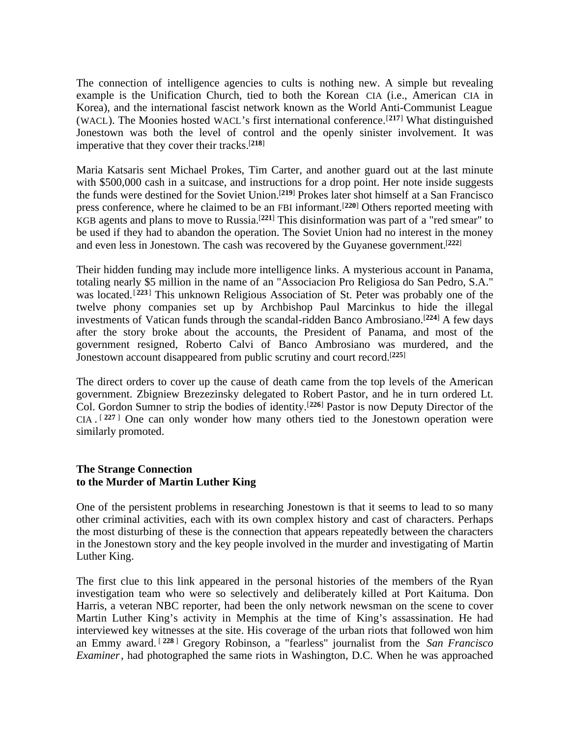The connection of intelligence agencies to cults is nothing new. A simple but revealing example is the Unification Church, tied to both the Korean CIA (i.e., American CIA in Korea), and the international fascist network known as the World Anti-Communist League (WACL). The Moonies hosted WACL's first international conference.[**<sup>217</sup>**] What distinguished Jonestown was both the level of control and the openly sinister involvement. It was imperative that they cover their tracks.[**<sup>218</sup>**]

Maria Katsaris sent Michael Prokes, Tim Carter, and another guard out at the last minute with \$500,000 cash in a suitcase, and instructions for a drop point. Her note inside suggests the funds were destined for the Soviet Union.[**<sup>219</sup>**] Prokes later shot himself at a San Francisco press conference, where he claimed to be an FBI informant.[**<sup>220</sup>**] Others reported meeting with KGB agents and plans to move to Russia.[**<sup>221</sup>**] This disinformation was part of a "red smear" to be used if they had to abandon the operation. The Soviet Union had no interest in the money and even less in Jonestown. The cash was recovered by the Guyanese government.[**<sup>222</sup>**]

Their hidden funding may include more intelligence links. A mysterious account in Panama, totaling nearly \$5 million in the name of an "Associacion Pro Religiosa do San Pedro, S.A." was located.[**<sup>223</sup>**] This unknown Religious Association of St. Peter was probably one of the twelve phony companies set up by Archbishop Paul Marcinkus to hide the illegal investments of Vatican funds through the scandal-ridden Banco Ambrosiano.[**<sup>224</sup>**] A few days after the story broke about the accounts, the President of Panama, and most of the government resigned, Roberto Calvi of Banco Ambrosiano was murdered, and the Jonestown account disappeared from public scrutiny and court record.[**<sup>225</sup>**]

The direct orders to cover up the cause of death came from the top levels of the American government. Zbigniew Brezezinsky delegated to Robert Pastor, and he in turn ordered Lt. Col. Gordon Sumner to strip the bodies of identity.[**<sup>226</sup>**] Pastor is now Deputy Director of the CIA . [ **<sup>227</sup>** ] One can only wonder how many others tied to the Jonestown operation were similarly promoted.

#### **The Strange Connection to the Murder of Martin Luther King**

One of the persistent problems in researching Jonestown is that it seems to lead to so many other criminal activities, each with its own complex history and cast of characters. Perhaps the most disturbing of these is the connection that appears repeatedly between the characters in the Jonestown story and the key people involved in the murder and investigating of Martin Luther King.

The first clue to this link appeared in the personal histories of the members of the Ryan investigation team who were so selectively and deliberately killed at Port Kaituma. Don Harris, a veteran NBC reporter, had been the only network newsman on the scene to cover Martin Luther King's activity in Memphis at the time of King's assassination. He had interviewed key witnesses at the site. His coverage of the urban riots that followed won him an Emmy award. [ **<sup>228</sup>** ] Gregory Robinson, a "fearless" journalist from the *San Francisco Examiner*, had photographed the same riots in Washington, D.C. When he was approached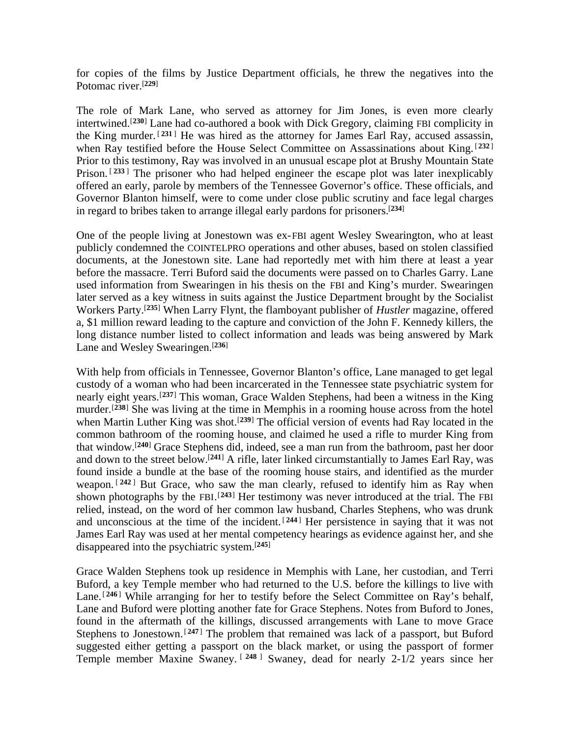for copies of the films by Justice Department officials, he threw the negatives into the Potomac river.[**<sup>229</sup>**]

The role of Mark Lane, who served as attorney for Jim Jones, is even more clearly intertwined.[**<sup>230</sup>**] Lane had co-authored a book with Dick Gregory, claiming FBI complicity in the King murder. [ **<sup>231</sup>** ] He was hired as the attorney for James Earl Ray, accused assassin, when Ray testified before the House Select Committee on Assassinations about King. [232] Prior to this testimony, Ray was involved in an unusual escape plot at Brushy Mountain State Prison.<sup>[233]</sup> The prisoner who had helped engineer the escape plot was later inexplicably offered an early, parole by members of the Tennessee Governor's office. These officials, and Governor Blanton himself, were to come under close public scrutiny and face legal charges in regard to bribes taken to arrange illegal early pardons for prisoners.[**<sup>234</sup>**]

One of the people living at Jonestown was ex-FBI agent Wesley Swearington, who at least publicly condemned the COINTELPRO operations and other abuses, based on stolen classified documents, at the Jonestown site. Lane had reportedly met with him there at least a year before the massacre. Terri Buford said the documents were passed on to Charles Garry. Lane used information from Swearingen in his thesis on the FBI and King's murder. Swearingen later served as a key witness in suits against the Justice Department brought by the Socialist Workers Party.[**<sup>235</sup>**] When Larry Flynt, the flamboyant publisher of *Hustler* magazine, offered a, \$1 million reward leading to the capture and conviction of the John F. Kennedy killers, the long distance number listed to collect information and leads was being answered by Mark Lane and Wesley Swearingen.[**<sup>236</sup>**]

With help from officials in Tennessee, Governor Blanton's office, Lane managed to get legal custody of a woman who had been incarcerated in the Tennessee state psychiatric system for nearly eight years.[**<sup>237</sup>**] This woman, Grace Walden Stephens, had been a witness in the King murder.[**<sup>238</sup>**] She was living at the time in Memphis in a rooming house across from the hotel when Martin Luther King was shot.<sup>[239]</sup> The official version of events had Ray located in the common bathroom of the rooming house, and claimed he used a rifle to murder King from that window.[**<sup>240</sup>**] Grace Stephens did, indeed, see a man run from the bathroom, past her door and down to the street below.[**<sup>241</sup>**] A rifle, later linked circumstantially to James Earl Ray, was found inside a bundle at the base of the rooming house stairs, and identified as the murder weapon. <sup>[242]</sup> But Grace, who saw the man clearly, refused to identify him as Ray when shown photographs by the FBI.<sup>[243]</sup> Her testimony was never introduced at the trial. The FBI relied, instead, on the word of her common law husband, Charles Stephens, who was drunk and unconscious at the time of the incident. [244] Her persistence in saying that it was not James Earl Ray was used at her mental competency hearings as evidence against her, and she disappeared into the psychiatric system.[**<sup>245</sup>**]

Grace Walden Stephens took up residence in Memphis with Lane, her custodian, and Terri Buford, a key Temple member who had returned to the U.S. before the killings to live with Lane.<sup>[246]</sup> While arranging for her to testify before the Select Committee on Ray's behalf, Lane and Buford were plotting another fate for Grace Stephens. Notes from Buford to Jones, found in the aftermath of the killings, discussed arrangements with Lane to move Grace Stephens to Jonestown.<sup>[247]</sup> The problem that remained was lack of a passport, but Buford suggested either getting a passport on the black market, or using the passport of former Temple member Maxine Swaney. [ **<sup>248</sup>** ] Swaney, dead for nearly 2-1/2 years since her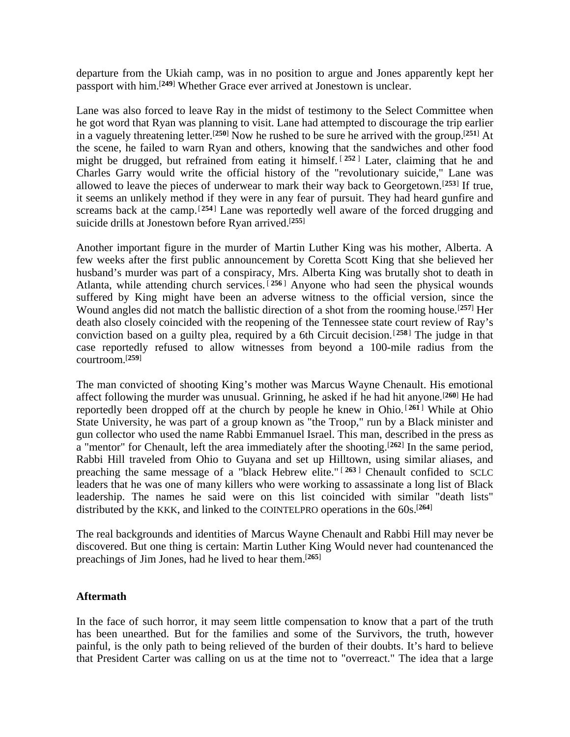departure from the Ukiah camp, was in no position to argue and Jones apparently kept her passport with him.[**<sup>249</sup>**] Whether Grace ever arrived at Jonestown is unclear.

Lane was also forced to leave Ray in the midst of testimony to the Select Committee when he got word that Ryan was planning to visit. Lane had attempted to discourage the trip earlier in a vaguely threatening letter.[**<sup>250</sup>**] Now he rushed to be sure he arrived with the group.[**<sup>251</sup>**] At the scene, he failed to warn Ryan and others, knowing that the sandwiches and other food might be drugged, but refrained from eating it himself. [ **<sup>252</sup>** ] Later, claiming that he and Charles Garry would write the official history of the "revolutionary suicide," Lane was allowed to leave the pieces of underwear to mark their way back to Georgetown.[**<sup>253</sup>**] If true, it seems an unlikely method if they were in any fear of pursuit. They had heard gunfire and screams back at the camp.<sup>[254]</sup> Lane was reportedly well aware of the forced drugging and suicide drills at Jonestown before Ryan arrived.[**<sup>255</sup>**]

Another important figure in the murder of Martin Luther King was his mother, Alberta. A few weeks after the first public announcement by Coretta Scott King that she believed her husband's murder was part of a conspiracy, Mrs. Alberta King was brutally shot to death in Atlanta, while attending church services. [ **<sup>256</sup>** ] Anyone who had seen the physical wounds suffered by King might have been an adverse witness to the official version, since the Wound angles did not match the ballistic direction of a shot from the rooming house.[**<sup>257</sup>**] Her death also closely coincided with the reopening of the Tennessee state court review of Ray's conviction based on a guilty plea, required by a 6th Circuit decision.[**<sup>258</sup>**] The judge in that case reportedly refused to allow witnesses from beyond a 100-mile radius from the courtroom.[**<sup>259</sup>**]

The man convicted of shooting King's mother was Marcus Wayne Chenault. His emotional affect following the murder was unusual. Grinning, he asked if he had hit anyone.<sup>[260]</sup> He had reportedly been dropped off at the church by people he knew in Ohio.<sup>[261]</sup> While at Ohio State University, he was part of a group known as "the Troop," run by a Black minister and gun collector who used the name Rabbi Emmanuel Israel. This man, described in the press as a "mentor" for Chenault, left the area immediately after the shooting.[**<sup>262</sup>**] In the same period, Rabbi Hill traveled from Ohio to Guyana and set up Hilltown, using similar aliases, and preaching the same message of a "black Hebrew elite." [ **<sup>263</sup>** ] Chenault confided to SCLC leaders that he was one of many killers who were working to assassinate a long list of Black leadership. The names he said were on this list coincided with similar "death lists" distributed by the KKK, and linked to the COINTELPRO operations in the 60s.[**<sup>264</sup>**]

The real backgrounds and identities of Marcus Wayne Chenault and Rabbi Hill may never be discovered. But one thing is certain: Martin Luther King Would never had countenanced the preachings of Jim Jones, had he lived to hear them.[**<sup>265</sup>**]

# **Aftermath**

In the face of such horror, it may seem little compensation to know that a part of the truth has been unearthed. But for the families and some of the Survivors, the truth, however painful, is the only path to being relieved of the burden of their doubts. It's hard to believe that President Carter was calling on us at the time not to "overreact." The idea that a large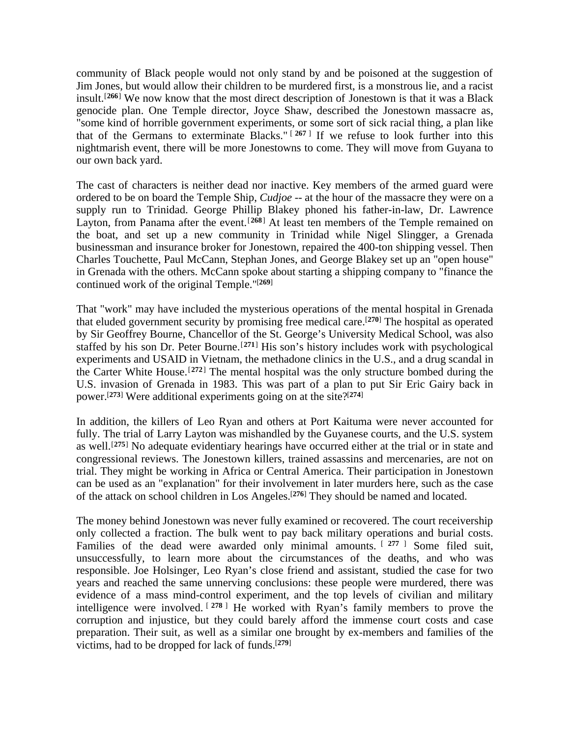community of Black people would not only stand by and be poisoned at the suggestion of Jim Jones, but would allow their children to be murdered first, is a monstrous lie, and a racist insult.[**<sup>266</sup>**] We now know that the most direct description of Jonestown is that it was a Black genocide plan. One Temple director, Joyce Shaw, described the Jonestown massacre as, "some kind of horrible government experiments, or some sort of sick racial thing, a plan like that of the Germans to exterminate Blacks." [ **<sup>267</sup>** ] If we refuse to look further into this nightmarish event, there will be more Jonestowns to come. They will move from Guyana to our own back yard.

The cast of characters is neither dead nor inactive. Key members of the armed guard were ordered to be on board the Temple Ship, *Cudjoe* -- at the hour of the massacre they were on a supply run to Trinidad. George Phillip Blakey phoned his father-in-law, Dr. Lawrence Layton, from Panama after the event.<sup>[268]</sup> At least ten members of the Temple remained on the boat, and set up a new community in Trinidad while Nigel Slingger, a Grenada businessman and insurance broker for Jonestown, repaired the 400-ton shipping vessel. Then Charles Touchette, Paul McCann, Stephan Jones, and George Blakey set up an "open house" in Grenada with the others. McCann spoke about starting a shipping company to "finance the continued work of the original Temple."[**<sup>269</sup>**]

That "work" may have included the mysterious operations of the mental hospital in Grenada that eluded government security by promising free medical care.[**<sup>270</sup>**] The hospital as operated by Sir Geoffrey Bourne, Chancellor of the St. George's University Medical School, was also staffed by his son Dr. Peter Bourne.<sup>[271]</sup> His son's history includes work with psychological experiments and USAID in Vietnam, the methadone clinics in the U.S., and a drug scandal in the Carter White House.[**<sup>272</sup>**] The mental hospital was the only structure bombed during the U.S. invasion of Grenada in 1983. This was part of a plan to put Sir Eric Gairy back in power.[**<sup>273</sup>**] Were additional experiments going on at the site?[**<sup>274</sup>**]

In addition, the killers of Leo Ryan and others at Port Kaituma were never accounted for fully. The trial of Larry Layton was mishandled by the Guyanese courts, and the U.S. system as well.[**<sup>275</sup>**] No adequate evidentiary hearings have occurred either at the trial or in state and congressional reviews. The Jonestown killers, trained assassins and mercenaries, are not on trial. They might be working in Africa or Central America. Their participation in Jonestown can be used as an "explanation" for their involvement in later murders here, such as the case of the attack on school children in Los Angeles.[**<sup>276</sup>**] They should be named and located.

The money behind Jonestown was never fully examined or recovered. The court receivership only collected a fraction. The bulk went to pay back military operations and burial costs. Families of the dead were awarded only minimal amounts. [ **<sup>277</sup>** ] Some filed suit, unsuccessfully, to learn more about the circumstances of the deaths, and who was responsible. Joe Holsinger, Leo Ryan's close friend and assistant, studied the case for two years and reached the same unnerving conclusions: these people were murdered, there was evidence of a mass mind-control experiment, and the top levels of civilian and military intelligence were involved. [ **<sup>278</sup>** ] He worked with Ryan's family members to prove the corruption and injustice, but they could barely afford the immense court costs and case preparation. Their suit, as well as a similar one brought by ex-members and families of the victims, had to be dropped for lack of funds.[**279**]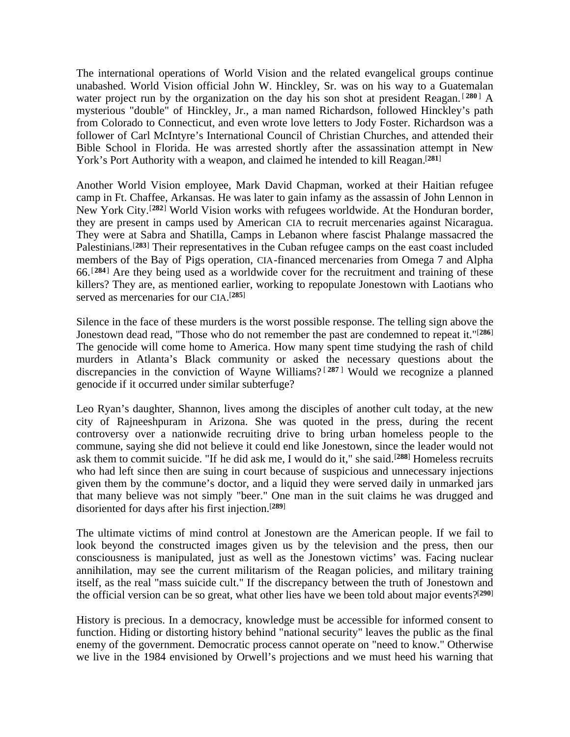The international operations of World Vision and the related evangelical groups continue unabashed. World Vision official John W. Hinckley, Sr. was on his way to a Guatemalan water project run by the organization on the day his son shot at president Reagan. [280] A mysterious "double" of Hinckley, Jr., a man named Richardson, followed Hinckley's path from Colorado to Connecticut, and even wrote love letters to Jody Foster. Richardson was a follower of Carl McIntyre's International Council of Christian Churches, and attended their Bible School in Florida. He was arrested shortly after the assassination attempt in New York's Port Authority with a weapon, and claimed he intended to kill Reagan.[**<sup>281</sup>**]

Another World Vision employee, Mark David Chapman, worked at their Haitian refugee camp in Ft. Chaffee, Arkansas. He was later to gain infamy as the assassin of John Lennon in New York City.[**<sup>282</sup>**] World Vision works with refugees worldwide. At the Honduran border, they are present in camps used by American CIA to recruit mercenaries against Nicaragua. They were at Sabra and Shatilla, Camps in Lebanon where fascist Phalange massacred the Palestinians.[**<sup>283</sup>**] Their representatives in the Cuban refugee camps on the east coast included members of the Bay of Pigs operation, CIA-financed mercenaries from Omega 7 and Alpha 66.[**<sup>284</sup>**] Are they being used as a worldwide cover for the recruitment and training of these killers? They are, as mentioned earlier, working to repopulate Jonestown with Laotians who served as mercenaries for our CIA. [**285**]

Silence in the face of these murders is the worst possible response. The telling sign above the Jonestown dead read, "Those who do not remember the past are condemned to repeat it."[**<sup>286</sup>**] The genocide will come home to America. How many spent time studying the rash of child murders in Atlanta's Black community or asked the necessary questions about the discrepancies in the conviction of Wayne Williams? [ **<sup>287</sup>** ] Would we recognize a planned genocide if it occurred under similar subterfuge?

Leo Ryan's daughter, Shannon, lives among the disciples of another cult today, at the new city of Rajneeshpuram in Arizona. She was quoted in the press, during the recent controversy over a nationwide recruiting drive to bring urban homeless people to the commune, saying she did not believe it could end like Jonestown, since the leader would not ask them to commit suicide. "If he did ask me, I would do it," she said.[**<sup>288</sup>**] Homeless recruits who had left since then are suing in court because of suspicious and unnecessary injections given them by the commune's doctor, and a liquid they were served daily in unmarked jars that many believe was not simply "beer." One man in the suit claims he was drugged and disoriented for days after his first injection.[**<sup>289</sup>**]

The ultimate victims of mind control at Jonestown are the American people. If we fail to look beyond the constructed images given us by the television and the press, then our consciousness is manipulated, just as well as the Jonestown victims' was. Facing nuclear annihilation, may see the current militarism of the Reagan policies, and military training itself, as the real "mass suicide cult." If the discrepancy between the truth of Jonestown and the official version can be so great, what other lies have we been told about major events?[**<sup>290</sup>**]

History is precious. In a democracy, knowledge must be accessible for informed consent to function. Hiding or distorting history behind "national security" leaves the public as the final enemy of the government. Democratic process cannot operate on "need to know." Otherwise we live in the 1984 envisioned by Orwell's projections and we must heed his warning that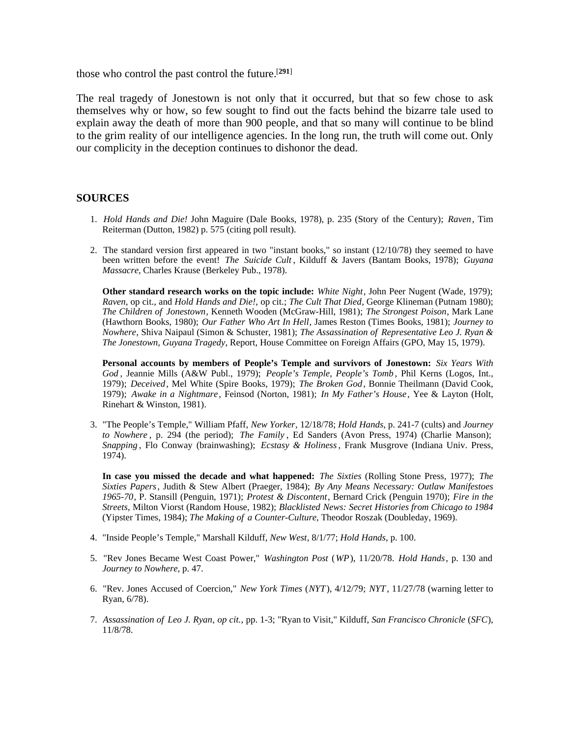those who control the past control the future.[**<sup>291</sup>**]

The real tragedy of Jonestown is not only that it occurred, but that so few chose to ask themselves why or how, so few sought to find out the facts behind the bizarre tale used to explain away the death of more than 900 people, and that so many will continue to be blind to the grim reality of our intelligence agencies. In the long run, the truth will come out. Only our complicity in the deception continues to dishonor the dead.

#### **SOURCES**

- 1. *Hold Hands and Die!* John Maguire (Dale Books, 1978), p. 235 (Story of the Century); *Raven*, Tim Reiterman (Dutton, 1982) p. 575 (citing poll result).
- 2. The standard version first appeared in two "instant books," so instant (12/10/78) they seemed to have been written before the event! *The Suicide Cult* , Kilduff & Javers (Bantam Books, 1978); *Guyana Massacre*, Charles Krause (Berkeley Pub., 1978).

**Other standard research works on the topic include:** *White Night*, John Peer Nugent (Wade, 1979); *Raven*, op cit., and *Hold Hands and Die!*, op cit.; *The Cult That Died*, George Klineman (Putnam 1980); *The Children of Jonestown*, Kenneth Wooden (McGraw-Hill, 1981); *The Strongest Poison*, Mark Lane (Hawthorn Books, 1980); *Our Father Who Art In Hell*, James Reston (Times Books, 1981); *Journey to Nowhere*, Shiva Naipaul (Simon & Schuster, 1981); *The Assassination of Representative Leo J. Ryan & The Jonestown, Guyana Tragedy*, Report, House Committee on Foreign Affairs (GPO, May 15, 1979).

**Personal accounts by members of People's Temple and survivors of Jonestown:** *Six Years With God* , Jeannie Mills (A&W Publ., 1979); *People's Temple, People's Tomb* , Phil Kerns (Logos, Int., 1979); *Deceived*, Mel White (Spire Books, 1979); *The Broken God*, Bonnie Theilmann (David Cook, 1979); *Awake in a Nightmare*, Feinsod (Norton, 1981); *In My Father's House*, Yee & Layton (Holt, Rinehart & Winston, 1981).

3. "The People's Temple," William Pfaff, *New Yorker*, 12/18/78; *Hold Hands*, p. 241-7 (cults) and *Journey to Nowhere* , p. 294 (the period); *The Family* , Ed Sanders (Avon Press, 1974) (Charlie Manson); *Snapping* , Flo Conway (brainwashing); *Ecstasy & Holiness*, Frank Musgrove (Indiana Univ. Press, 1974).

**In case you missed the decade and what happened:** *The Sixties* (Rolling Stone Press, 1977); *The Sixties Papers*, Judith & Stew Albert (Praeger, 1984); *By Any Means Necessary: Outlaw Manifestoes 1965-70*, P. Stansill (Penguin, 1971); *Protest & Discontent*, Bernard Crick (Penguin 1970); *Fire in the Streets*, Milton Viorst (Random House, 1982); *Blacklisted News: Secret Histories from Chicago to 1984* (Yipster Times, 1984); *The Making of a Counter-Culture*, Theodor Roszak (Doubleday, 1969).

- 4. "Inside People's Temple," Marshall Kilduff, *New West*, 8/1/77; *Hold Hands*, p. 100.
- 5. "Rev Jones Became West Coast Power," *Washington Post* (*WP*), 11/20/78. *Hold Hands*, p. 130 and *Journey to Nowhere*, p. 47.
- 6. "Rev. Jones Accused of Coercion," *New York Times* (*NYT*), 4/12/79; *NYT*, 11/27/78 (warning letter to Ryan, 6/78).
- 7. *Assassination of Leo J. Ryan*, *op cit.*, pp. 1-3; "Ryan to Visit," Kilduff, *San Francisco Chronicle* (*SFC*), 11/8/78.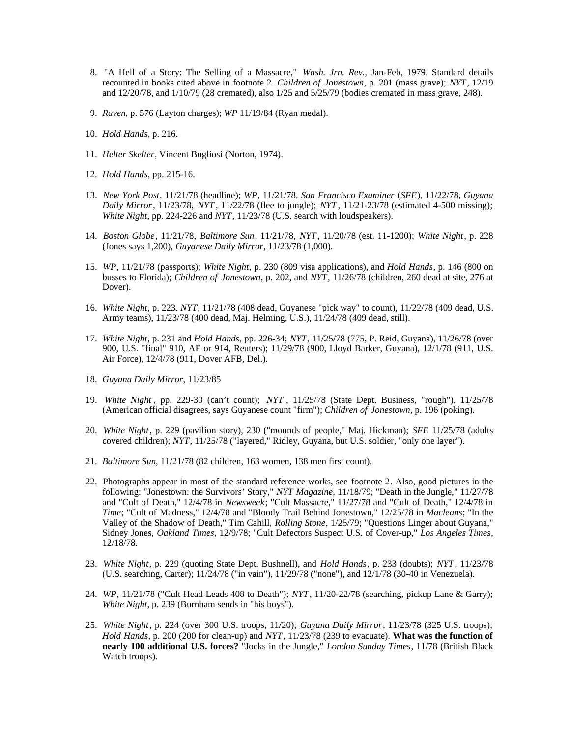- 8. "A Hell of a Story: The Selling of a Massacre," *Wash. Jrn. Rev.,* Jan-Feb, 1979. Standard details recounted in books cited above in footnote 2. *Children of Jonestown*, p. 201 (mass grave); *NYT*, 12/19 and 12/20/78, and 1/10/79 (28 cremated), also 1/25 and 5/25/79 (bodies cremated in mass grave, 248).
- 9. *Raven*, p. 576 (Layton charges); *WP* 11/19/84 (Ryan medal).
- 10. *Hold Hands*, p. 216.
- 11. *Helter Skelter*, Vincent Bugliosi (Norton, 1974).
- 12. *Hold Hands*, pp. 215-16.
- 13. *New York Post*, 11/21/78 (headline); *WP*, 11/21/78, *San Francisco Examiner* (*SFE*), 11/22/78, *Guyana Daily Mirror*, 11/23/78, *NYT* , 11/22/78 (flee to jungle); *NYT* , 11/21-23/78 (estimated 4-500 missing); *White Night*, pp. 224-226 and *NYT*, 11/23/78 (U.S. search with loudspeakers).
- 14. *Boston Globe*, 11/21/78, *Baltimore Sun*, 11/21/78, *NYT* , 11/20/78 (est. 11-1200); *White Night*, p. 228 (Jones says 1,200), *Guyanese Daily Mirror*, 11/23/78 (1,000).
- 15. *WP*, 11/21/78 (passports); *White Night*, p. 230 (809 visa applications), and *Hold Hands*, p. 146 (800 on busses to Florida); *Children of Jonestown*, p. 202, and *NYT*, 11/26/78 (children, 260 dead at site, 276 at Dover).
- 16. *White Night*, p. 223. *NYT*, 11/21/78 (408 dead, Guyanese "pick way" to count), 11/22/78 (409 dead, U.S. Army teams), 11/23/78 (400 dead, Maj. Helming, U.S.), 11/24/78 (409 dead, still).
- 17. *White Night*, p. 231 and *Hold Hands*, pp. 226-34; *NYT*, 11/25/78 (775, P. Reid, Guyana), 11/26/78 (over 900, U.S. "final" 910, AF or 914, Reuters); 11/29/78 (900, Lloyd Barker, Guyana), 12/1/78 (911, U.S. Air Force), 12/4/78 (911, Dover AFB, Del.).
- 18. *Guyana Daily Mirror*, 11/23/85
- 19. *White Night* , pp. 229-30 (can't count); *NYT* , 11/25/78 (State Dept. Business, "rough"), 11/25/78 (American official disagrees, says Guyanese count "firm"); *Children of Jonestown*, p. 196 (poking).
- 20. *White Night*, p. 229 (pavilion story), 230 ("mounds of people," Maj. Hickman); *SFE* 11/25/78 (adults covered children); *NYT*, 11/25/78 ("layered," Ridley, Guyana, but U.S. soldier, "only one layer").
- 21. *Baltimore Sun*, 11/21/78 (82 children, 163 women, 138 men first count).
- 22. Photographs appear in most of the standard reference works, see footnote 2. Also, good pictures in the following: "Jonestown: the Survivors' Story," *NYT Magazine*, 11/18/79; "Death in the Jungle," 11/27/78 and "Cult of Death," 12/4/78 in *Newsweek*; "Cult Massacre," 11/27/78 and "Cult of Death," 12/4/78 in *Time*; "Cult of Madness," 12/4/78 and "Bloody Trail Behind Jonestown," 12/25/78 in *Macleans*; "In the Valley of the Shadow of Death," Tim Cahill, *Rolling Stone*, 1/25/79; "Questions Linger about Guyana," Sidney Jones, *Oakland Times*, 12/9/78; "Cult Defectors Suspect U.S. of Cover-up," *Los Angeles Times*, 12/18/78.
- 23. *White Night*, p. 229 (quoting State Dept. Bushnell), and *Hold Hands*, p. 233 (doubts); *NYT* , 11/23/78 (U.S. searching, Carter); 11/24/78 ("in vain"), 11/29/78 ("none"), and 12/1/78 (30-40 in Venezuela).
- 24. *WP*, 11/21/78 ("Cult Head Leads 408 to Death"); *NYT*, 11/20-22/78 (searching, pickup Lane & Garry); *White Night*, p. 239 (Burnham sends in "his boys").
- 25. *White Night*, p. 224 (over 300 U.S. troops, 11/20); *Guyana Daily Mirror*, 11/23/78 (325 U.S. troops); *Hold Hands*, p. 200 (200 for clean-up) and *NYT*, 11/23/78 (239 to evacuate). **What was the function of nearly 100 additional U.S. forces?** "Jocks in the Jungle," *London Sunday Times*, 11/78 (British Black Watch troops).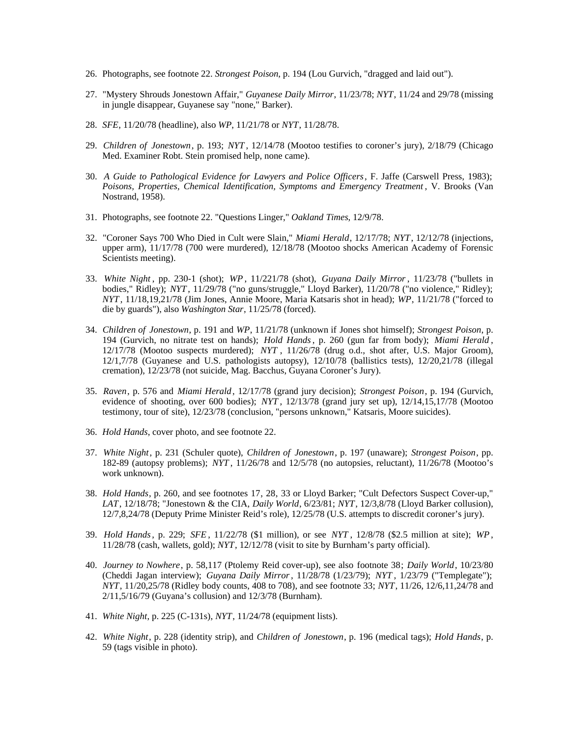- 26. Photographs, see footnote 22. *Strongest Poison*, p. 194 (Lou Gurvich, "dragged and laid out").
- 27. "Mystery Shrouds Jonestown Affair," *Guyanese Daily Mirror*, 11/23/78; *NYT*, 11/24 and 29/78 (missing in jungle disappear, Guyanese say "none," Barker).
- 28. *SFE*, 11/20/78 (headline), also *WP*, 11/21/78 or *NYT*, 11/28/78.
- 29. *Children of Jonestown*, p. 193; *NYT* , 12/14/78 (Mootoo testifies to coroner's jury), 2/18/79 (Chicago Med. Examiner Robt. Stein promised help, none came).
- 30. *A Guide to Pathological Evidence for Lawyers and Police Officers*, F. Jaffe (Carswell Press, 1983); *Poisons, Properties, Chemical Identification, Symptoms and Emergency Treatment* , V. Brooks (Van Nostrand, 1958).
- 31. Photographs, see footnote 22. "Questions Linger," *Oakland Times*, 12/9/78.
- 32. "Coroner Says 700 Who Died in Cult were Slain," *Miami Herald*, 12/17/78; *NYT*, 12/12/78 (injections, upper arm), 11/17/78 (700 were murdered), 12/18/78 (Mootoo shocks American Academy of Forensic Scientists meeting).
- 33. *White Night* , pp. 230-1 (shot); *WP* , 11/221/78 (shot), *Guyana Daily Mirror*, 11/23/78 ("bullets in bodies," Ridley); *NYT* , 11/29/78 ("no guns/struggle," Lloyd Barker), 11/20/78 ("no violence," Ridley); *NYT*, 11/18,19,21/78 (Jim Jones, Annie Moore, Maria Katsaris shot in head); *WP*, 11/21/78 ("forced to die by guards"), also *Washington Star*, 11/25/78 (forced).
- 34. *Children of Jonestown*, p. 191 and *WP*, 11/21/78 (unknown if Jones shot himself); *Strongest Poison*, p. 194 (Gurvich, no nitrate test on hands); *Hold Hands*, p. 260 (gun far from body); *Miami Herald* , 12/17/78 (Mootoo suspects murdered); *NYT* , 11/26/78 (drug o.d., shot after, U.S. Major Groom), 12/1,7/78 (Guyanese and U.S. pathologists autopsy), 12/10/78 (ballistics tests), 12/20,21/78 (illegal cremation), 12/23/78 (not suicide, Mag. Bacchus, Guyana Coroner's Jury).
- 35. *Raven*, p. 576 and *Miami Herald*, 12/17/78 (grand jury decision); *Strongest Poison*, p. 194 (Gurvich, evidence of shooting, over 600 bodies); *NYT* , 12/13/78 (grand jury set up), 12/14,15,17/78 (Mootoo testimony, tour of site), 12/23/78 (conclusion, "persons unknown," Katsaris, Moore suicides).
- 36. *Hold Hands*, cover photo, and see footnote 22.
- 37. *White Night*, p. 231 (Schuler quote), *Children of Jonestown*, p. 197 (unaware); *Strongest Poison*, pp. 182-89 (autopsy problems); *NYT* , 11/26/78 and 12/5/78 (no autopsies, reluctant), 11/26/78 (Mootoo's work unknown).
- 38. *Hold Hands*, p. 260, and see footnotes 17, 28, 33 or Lloyd Barker; "Cult Defectors Suspect Cover-up," *LAT*, 12/18/78; "Jonestown & the CIA, *Daily World*, 6/23/81; *NYT*, 12/3,8/78 (Lloyd Barker collusion), 12/7,8,24/78 (Deputy Prime Minister Reid's role), 12/25/78 (U.S. attempts to discredit coroner's jury).
- 39. *Hold Hands*, p. 229; *SFE* , 11/22/78 (\$1 million), or see *NYT* , 12/8/78 (\$2.5 million at site); *WP*, 11/28/78 (cash, wallets, gold); *NYT*, 12/12/78 (visit to site by Burnham's party official).
- 40. *Journey to Nowhere*, p. 58,117 (Ptolemy Reid cover-up), see also footnote 38; *Daily World*, 10/23/80 (Cheddi Jagan interview); *Guyana Daily Mirror*, 11/28/78 (1/23/79); *NYT* , 1/23/79 ("Templegate"); *NYT*, 11/20,25/78 (Ridley body counts, 408 to 708), and see footnote 33; *NYT*, 11/26, 12/6,11,24/78 and 2/11,5/16/79 (Guyana's collusion) and 12/3/78 (Burnham).
- 41. *White Night*, p. 225 (C-131s), *NYT*, 11/24/78 (equipment lists).
- 42. *White Night*, p. 228 (identity strip), and *Children of Jonestown*, p. 196 (medical tags); *Hold Hands*, p. 59 (tags visible in photo).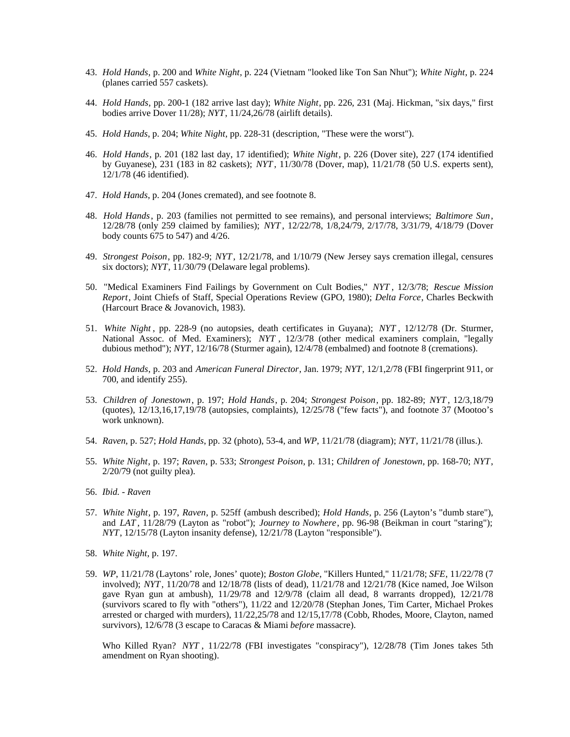- 43. *Hold Hands*, p. 200 and *White Night*, p. 224 (Vietnam "looked like Ton San Nhut"); *White Night*, p. 224 (planes carried 557 caskets).
- 44. *Hold Hands*, pp. 200-1 (182 arrive last day); *White Night*, pp. 226, 231 (Maj. Hickman, "six days," first bodies arrive Dover 11/28); *NYT*, 11/24,26/78 (airlift details).
- 45. *Hold Hands*, p. 204; *White Night*, pp. 228-31 (description, "These were the worst").
- 46. *Hold Hands*, p. 201 (182 last day, 17 identified); *White Night*, p. 226 (Dover site), 227 (174 identified by Guyanese), 231 (183 in 82 caskets); *NYT* , 11/30/78 (Dover, map), 11/21/78 (50 U.S. experts sent), 12/1/78 (46 identified).
- 47. *Hold Hands*, p. 204 (Jones cremated), and see footnote 8.
- 48. *Hold Hands*, p. 203 (families not permitted to see remains), and personal interviews; *Baltimore Sun*, 12/28/78 (only 259 claimed by families); *NYT* , 12/22/78, 1/8,24/79, 2/17/78, 3/31/79, 4/18/79 (Dover body counts 675 to 547) and 4/26.
- 49. *Strongest Poison*, pp. 182-9; *NYT*, 12/21/78, and 1/10/79 (New Jersey says cremation illegal, censures six doctors); *NYT*, 11/30/79 (Delaware legal problems).
- 50. "Medical Examiners Find Failings by Government on Cult Bodies," *NYT* , 12/3/78; *Rescue Mission Report*, Joint Chiefs of Staff, Special Operations Review (GPO, 1980); *Delta Force*, Charles Beckwith (Harcourt Brace & Jovanovich, 1983).
- 51. *White Night* , pp. 228-9 (no autopsies, death certificates in Guyana); *NYT* , 12/12/78 (Dr. Sturmer, National Assoc. of Med. Examiners); *NYT* , 12/3/78 (other medical examiners complain, "legally dubious method"); *NYT*, 12/16/78 (Sturmer again), 12/4/78 (embalmed) and footnote 8 (cremations).
- 52. *Hold Hands*, p. 203 and *American Funeral Director*, Jan. 1979; *NYT*, 12/1,2/78 (FBI fingerprint 911, or 700, and identify 255).
- 53. *Children of Jonestown*, p. 197; *Hold Hands*, p. 204; *Strongest Poison*, pp. 182-89; *NYT* , 12/3,18/79 (quotes), 12/13,16,17,19/78 (autopsies, complaints), 12/25/78 ("few facts"), and footnote 37 (Mootoo's work unknown).
- 54. *Raven*, p. 527; *Hold Hands*, pp. 32 (photo), 53-4, and *WP*, 11/21/78 (diagram); *NYT*, 11/21/78 (illus.).
- 55. *White Night*, p. 197; *Raven*, p. 533; *Strongest Poison*, p. 131; *Children of Jonestown*, pp. 168-70; *NYT*, 2/20/79 (not guilty plea).
- 56. *Ibid. Raven*
- 57. *White Night*, p. 197, *Raven*, p. 525ff (ambush described); *Hold Hands*, p. 256 (Layton's "dumb stare"), and *LAT*, 11/28/79 (Layton as "robot"); *Journey to Nowhere*, pp. 96-98 (Beikman in court "staring"); *NYT*, 12/15/78 (Layton insanity defense), 12/21/78 (Layton "responsible").
- 58. *White Night*, p. 197.
- 59. *WP*, 11/21/78 (Laytons' role, Jones' quote); *Boston Globe*, "Killers Hunted," 11/21/78; *SFE*, 11/22/78 (7 involved); *NYT*, 11/20/78 and 12/18/78 (lists of dead), 11/21/78 and 12/21/78 (Kice named, Joe Wilson gave Ryan gun at ambush), 11/29/78 and 12/9/78 (claim all dead, 8 warrants dropped), 12/21/78 (survivors scared to fly with "others"), 11/22 and 12/20/78 (Stephan Jones, Tim Carter, Michael Prokes arrested or charged with murders), 11/22,25/78 and 12/15,17/78 (Cobb, Rhodes, Moore, Clayton, named survivors), 12/6/78 (3 escape to Caracas & Miami *before* massacre).

Who Killed Ryan? *NYT* , 11/22/78 (FBI investigates "conspiracy"), 12/28/78 (Tim Jones takes 5th amendment on Ryan shooting).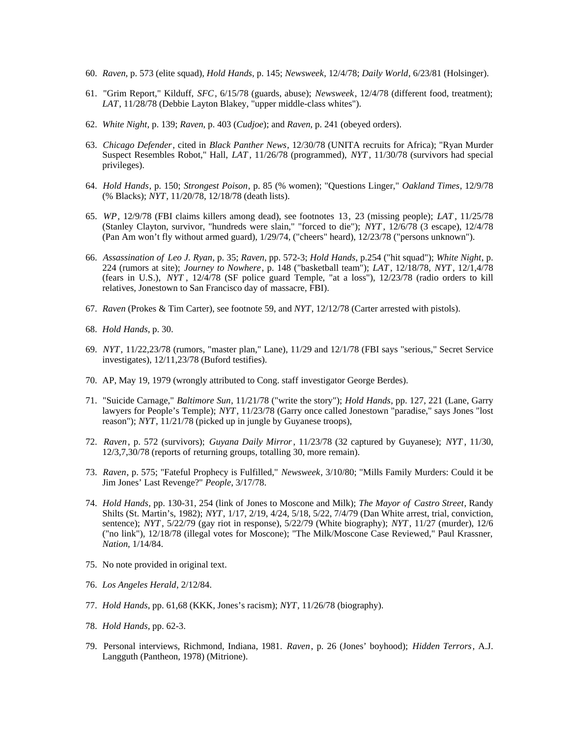- 60. *Raven*, p. 573 (elite squad), *Hold Hands*, p. 145; *Newsweek*, 12/4/78; *Daily World*, 6/23/81 (Holsinger).
- 61. "Grim Report," Kilduff, *SFC*, 6/15/78 (guards, abuse); *Newsweek*, 12/4/78 (different food, treatment); *LAT*, 11/28/78 (Debbie Layton Blakey, "upper middle-class whites").
- 62. *White Night*, p. 139; *Raven*, p. 403 (*Cudjoe*); and *Raven*, p. 241 (obeyed orders).
- 63. *Chicago Defender*, cited in *Black Panther News*, 12/30/78 (UNITA recruits for Africa); "Ryan Murder Suspect Resembles Robot," Hall, *LAT* , 11/26/78 (programmed), *NYT* , 11/30/78 (survivors had special privileges).
- 64. *Hold Hands*, p. 150; *Strongest Poison*, p. 85 (% women); "Questions Linger," *Oakland Times*, 12/9/78 (% Blacks); *NYT*, 11/20/78, 12/18/78 (death lists).
- 65. *WP*, 12/9/78 (FBI claims killers among dead), see footnotes 13, 23 (missing people); *LAT* , 11/25/78 (Stanley Clayton, survivor, "hundreds were slain," "forced to die"); *NYT* , 12/6/78 (3 escape), 12/4/78 (Pan Am won't fly without armed guard), 1/29/74, ("cheers" heard), 12/23/78 ("persons unknown").
- 66. *Assassination of Leo J. Ryan*, p. 35; *Raven*, pp. 572-3; *Hold Hands*, p.254 ("hit squad"); *White Night*, p. 224 (rumors at site); *Journey to Nowhere*, p. 148 ("basketball team"); *LAT* , 12/18/78, *NYT* , 12/1,4/78 (fears in U.S.), *NYT* , 12/4/78 (SF police guard Temple, "at a loss"), 12/23/78 (radio orders to kill relatives, Jonestown to San Francisco day of massacre, FBI).
- 67. *Raven* (Prokes & Tim Carter), see footnote 59, and *NYT*, 12/12/78 (Carter arrested with pistols).
- 68. *Hold Hands*, p. 30.
- 69. *NYT*, 11/22,23/78 (rumors, "master plan," Lane), 11/29 and 12/1/78 (FBI says "serious," Secret Service investigates), 12/11,23/78 (Buford testifies).
- 70. AP, May 19, 1979 (wrongly attributed to Cong. staff investigator George Berdes).
- 71. "Suicide Carnage," *Baltimore Sun*, 11/21/78 ("write the story"); *Hold Hands*, pp. 127, 221 (Lane, Garry lawyers for People's Temple); *NYT*, 11/23/78 (Garry once called Jonestown "paradise," says Jones "lost reason"); *NYT*, 11/21/78 (picked up in jungle by Guyanese troops),
- 72. *Raven*, p. 572 (survivors); *Guyana Daily Mirror*, 11/23/78 (32 captured by Guyanese); *NYT* , 11/30, 12/3,7,30/78 (reports of returning groups, totalling 30, more remain).
- 73. *Raven*, p. 575; "Fateful Prophecy is Fulfilled," *Newsweek*, 3/10/80; "Mills Family Murders: Could it be Jim Jones' Last Revenge?" *People*, 3/17/78.
- 74. *Hold Hands*, pp. 130-31, 254 (link of Jones to Moscone and Milk); *The Mayor of Castro Street*, Randy Shilts (St. Martin's, 1982); *NYT*, 1/17, 2/19, 4/24, 5/18, 5/22, 7/4/79 (Dan White arrest, trial, conviction, sentence); *NYT* , 5/22/79 (gay riot in response), 5/22/79 (White biography); *NYT*, 11/27 (murder), 12/6 ("no link"), 12/18/78 (illegal votes for Moscone); "The Milk/Moscone Case Reviewed," Paul Krassner, *Nation*, 1/14/84.
- 75. No note provided in original text.
- 76. *Los Angeles Herald*, 2/12/84.
- 77. *Hold Hands*, pp. 61,68 (KKK, Jones's racism); *NYT*, 11/26/78 (biography).
- 78. *Hold Hands*, pp. 62-3.
- 79. Personal interviews, Richmond, Indiana, 1981. *Raven*, p. 26 (Jones' boyhood); *Hidden Terrors*, A.J. Langguth (Pantheon, 1978) (Mitrione).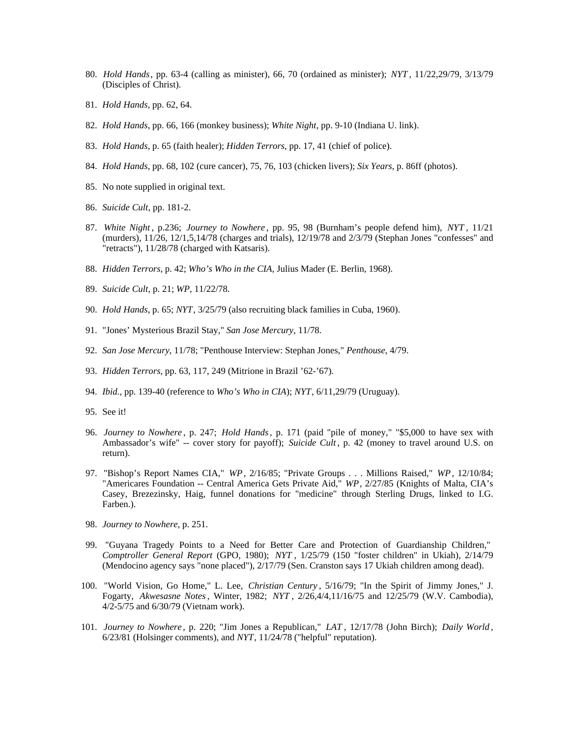- 80. *Hold Hands*, pp. 63-4 (calling as minister), 66, 70 (ordained as minister); *NYT* , 11/22,29/79, 3/13/79 (Disciples of Christ).
- 81. *Hold Hands*, pp. 62, 64.
- 82. *Hold Hands*, pp. 66, 166 (monkey business); *White Night*, pp. 9-10 (Indiana U. link).
- 83. *Hold Hands*, p. 65 (faith healer); *Hidden Terrors*, pp. 17, 41 (chief of police).
- 84. *Hold Hands*, pp. 68, 102 (cure cancer), 75, 76, 103 (chicken livers); *Six Years*, p. 86ff (photos).
- 85. No note supplied in original text.
- 86. *Suicide Cult*, pp. 181-2.
- 87. *White Night* , p.236; *Journey to Nowhere* , pp. 95, 98 (Burnham's people defend him), *NYT* , 11/21 (murders), 11/26, 12/1,5,14/78 (charges and trials), 12/19/78 and 2/3/79 (Stephan Jones "confesses" and "retracts"), 11/28/78 (charged with Katsaris).
- 88. *Hidden Terrors*, p. 42; *Who's Who in the CIA*, Julius Mader (E. Berlin, 1968).
- 89. *Suicide Cult*, p. 21; *WP*, 11/22/78.
- 90. *Hold Hands*, p. 65; *NYT*, 3/25/79 (also recruiting black families in Cuba, 1960).
- 91. "Jones' Mysterious Brazil Stay," *San Jose Mercury*, 11/78.
- 92. *San Jose Mercury*, 11/78; "Penthouse Interview: Stephan Jones," *Penthouse*, 4/79.
- 93. *Hidden Terrors*, pp. 63, 117, 249 (Mitrione in Brazil '62-'67).
- 94. *Ibid.,* pp. 139-40 (reference to *Who's Who in CIA*); *NYT*, 6/11,29/79 (Uruguay).
- 95. See it!
- 96. *Journey to Nowhere* , p. 247; *Hold Hands*, p. 171 (paid "pile of money," "\$5,000 to have sex with Ambassador's wife" -- cover story for payoff); *Suicide Cult* , p. 42 (money to travel around U.S. on return).
- 97. "Bishop's Report Names CIA," *WP*, 2/16/85; "Private Groups . . . Millions Raised," *WP*, 12/10/84; "Americares Foundation -- Central America Gets Private Aid," *WP*, 2/27/85 (Knights of Malta, CIA's Casey, Brezezinsky, Haig, funnel donations for "medicine" through Sterling Drugs, linked to I.G. Farben.).
- 98. *Journey to Nowhere*, p. 251.
- 99. "Guyana Tragedy Points to a Need for Better Care and Protection of Guardianship Children," *Comptroller General Report* (GPO, 1980); *NYT* , 1/25/79 (150 "foster children" in Ukiah), 2/14/79 (Mendocino agency says "none placed"), 2/17/79 (Sen. Cranston says 17 Ukiah children among dead).
- 100. "World Vision, Go Home," L. Lee, *Christian Century* , 5/16/79; "In the Spirit of Jimmy Jones," J. Fogarty, *Akwesasne Notes*, Winter, 1982; *NYT* , 2/26,4/4,11/16/75 and 12/25/79 (W.V. Cambodia), 4/2-5/75 and 6/30/79 (Vietnam work).
- 101. *Journey to Nowhere* , p. 220; "Jim Jones a Republican," *LAT* , 12/17/78 (John Birch); *Daily World* , 6/23/81 (Holsinger comments), and *NYT*, 11/24/78 ("helpful" reputation).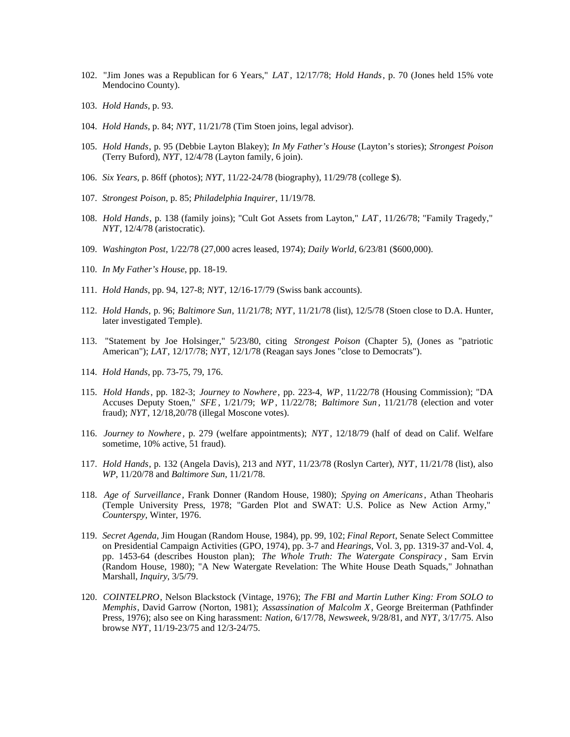- 102. "Jim Jones was a Republican for 6 Years," *LAT* , 12/17/78; *Hold Hands*, p. 70 (Jones held 15% vote Mendocino County).
- 103. *Hold Hands*, p. 93.
- 104. *Hold Hands*, p. 84; *NYT*, 11/21/78 (Tim Stoen joins, legal advisor).
- 105. *Hold Hands*, p. 95 (Debbie Layton Blakey); *In My Father's House* (Layton's stories); *Strongest Poison* (Terry Buford), *NYT*, 12/4/78 (Layton family, 6 join).
- 106. *Six Years*, p. 86ff (photos); *NYT*, 11/22-24/78 (biography), 11/29/78 (college \$).
- 107. *Strongest Poison*, p. 85; *Philadelphia Inquirer*, 11/19/78.
- 108. *Hold Hands*, p. 138 (family joins); "Cult Got Assets from Layton," *LAT*, 11/26/78; "Family Tragedy," *NYT*, 12/4/78 (aristocratic).
- 109. *Washington Post*, 1/22/78 (27,000 acres leased, 1974); *Daily World*, 6/23/81 (\$600,000).
- 110. *In My Father's House*, pp. 18-19.
- 111. *Hold Hands*, pp. 94, 127-8; *NYT*, 12/16-17/79 (Swiss bank accounts).
- 112. *Hold Hands*, p. 96; *Baltimore Sun*, 11/21/78; *NYT*, 11/21/78 (list), 12/5/78 (Stoen close to D.A. Hunter, later investigated Temple).
- 113. "Statement by Joe Holsinger," 5/23/80, citing *Strongest Poison* (Chapter 5), (Jones as "patriotic American"); *LAT*, 12/17/78; *NYT*, 12/1/78 (Reagan says Jones "close to Democrats").
- 114. *Hold Hands*, pp. 73-75, 79, 176.
- 115. *Hold Hands*, pp. 182-3; *Journey to Nowhere*, pp. 223-4, *WP*, 11/22/78 (Housing Commission); "DA Accuses Deputy Stoen," *SFE* , 1/21/79; *WP*, 11/22/78; *Baltimore Sun* , 11/21/78 (election and voter fraud); *NYT*, 12/18,20/78 (illegal Moscone votes).
- 116. *Journey to Nowhere* , p. 279 (welfare appointments); *NYT* , 12/18/79 (half of dead on Calif. Welfare sometime, 10% active, 51 fraud).
- 117. *Hold Hands*, p. 132 (Angela Davis), 213 and *NYT*, 11/23/78 (Roslyn Carter), *NYT*, 11/21/78 (list), also *WP*, 11/20/78 and *Baltimore Sun*, 11/21/78.
- 118. *Age of Surveillance* , Frank Donner (Random House, 1980); *Spying on Americans*, Athan Theoharis (Temple University Press, 1978; "Garden Plot and SWAT: U.S. Police as New Action Army," *Counterspy*, Winter, 1976.
- 119. *Secret Agenda*, Jim Hougan (Random House, 1984), pp. 99, 102; *Final Report*, Senate Select Committee on Presidential Campaign Activities (GPO, 1974), pp. 3-7 and *Hearings*, Vol. 3, pp. 1319-37 and-Vol. 4, pp. 1453-64 (describes Houston plan); *The Whole Truth: The Watergate Conspiracy* , Sam Ervin (Random House, 1980); "A New Watergate Revelation: The White House Death Squads," Johnathan Marshall, *Inquiry*, 3/5/79.
- 120. *COINTELPRO*, Nelson Blackstock (Vintage, 1976); *The FBI and Martin Luther King: From SOLO to Memphis*, David Garrow (Norton, 1981); *Assassination of Malcolm X*, George Breiterman (Pathfinder Press, 1976); also see on King harassment: *Nation*, 6/17/78, *Newsweek*, 9/28/81, and *NYT*, 3/17/75. Also browse *NYT*, 11/19-23/75 and 12/3-24/75.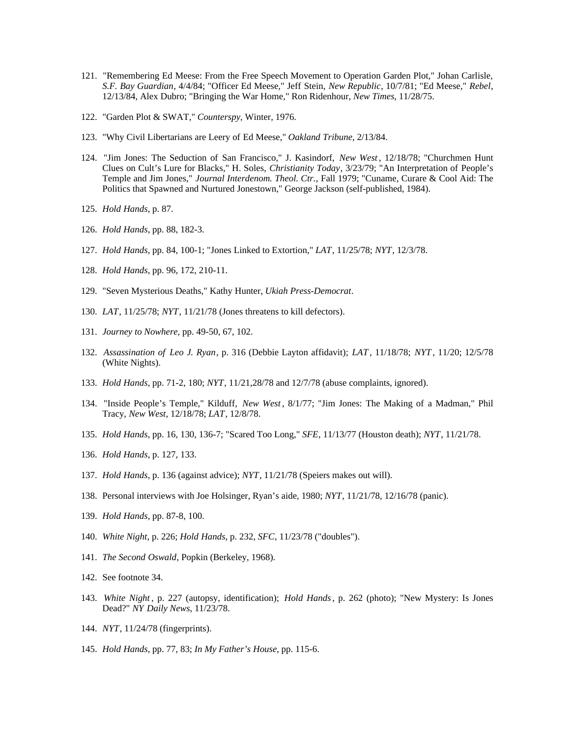- 121. "Remembering Ed Meese: From the Free Speech Movement to Operation Garden Plot," Johan Carlisle, *S.F. Bay Guardian*, 4/4/84; "Officer Ed Meese," Jeff Stein, *New Republic*, 10/7/81; "Ed Meese," *Rebel*, 12/13/84, Alex Dubro; "Bringing the War Home," Ron Ridenhour, *New Times*, 11/28/75.
- 122. "Garden Plot & SWAT," *Counterspy*, Winter, 1976.
- 123. "Why Civil Libertarians are Leery of Ed Meese," *Oakland Tribune*, 2/13/84.
- 124. "Jim Jones: The Seduction of San Francisco," J. Kasindorf, *New West* , 12/18/78; "Churchmen Hunt Clues on Cult's Lure for Blacks," H. Soles, *Christianity Today*, 3/23/79; "An Interpretation of People's Temple and Jim Jones," *Journal Interdenom. Theol. Ctr.*, Fall 1979; "Cuname, Curare & Cool Aid: The Politics that Spawned and Nurtured Jonestown," George Jackson (self-published, 1984).
- 125. *Hold Hands*, p. 87.
- 126. *Hold Hands*, pp. 88, 182-3.
- 127. *Hold Hands*, pp. 84, 100-1; "Jones Linked to Extortion," *LAT*, 11/25/78; *NYT*, 12/3/78.
- 128. *Hold Hands*, pp. 96, 172, 210-11.
- 129. "Seven Mysterious Deaths," Kathy Hunter, *Ukiah Press-Democrat*.
- 130. *LAT*, 11/25/78; *NYT*, 11/21/78 (Jones threatens to kill defectors).
- 131. *Journey to Nowhere*, pp. 49-50, 67, 102.
- 132. *Assassination of Leo J. Ryan*, p. 316 (Debbie Layton affidavit); *LAT* , 11/18/78; *NYT* , 11/20; 12/5/78 (White Nights).
- 133. *Hold Hands*, pp. 71-2, 180; *NYT*, 11/21,28/78 and 12/7/78 (abuse complaints, ignored).
- 134. "Inside People's Temple," Kilduff, *New West* , 8/1/77; "Jim Jones: The Making of a Madman," Phil Tracy, *New West*, 12/18/78; *LAT*, 12/8/78.
- 135. *Hold Hands*, pp. 16, 130, 136-7; "Scared Too Long," *SFE*, 11/13/77 (Houston death); *NYT*, 11/21/78.
- 136. *Hold Hands*, p. 127, 133.
- 137. *Hold Hands*, p. 136 (against advice); *NYT*, 11/21/78 (Speiers makes out will).
- 138. Personal interviews with Joe Holsinger, Ryan's aide, 1980; *NYT*, 11/21/78, 12/16/78 (panic).
- 139. *Hold Hands*, pp. 87-8, 100.
- 140. *White Night*, p. 226; *Hold Hands*, p. 232, *SFC*, 11/23/78 ("doubles").
- 141. *The Second Oswald*, Popkin (Berkeley, 1968).
- 142. See footnote 34.
- 143. *White Night* , p. 227 (autopsy, identification); *Hold Hands*, p. 262 (photo); "New Mystery: Is Jones Dead?" *NY Daily News*, 11/23/78.
- 144. *NYT*, 11/24/78 (fingerprints).
- 145. *Hold Hands*, pp. 77, 83; *In My Father's House*, pp. 115-6.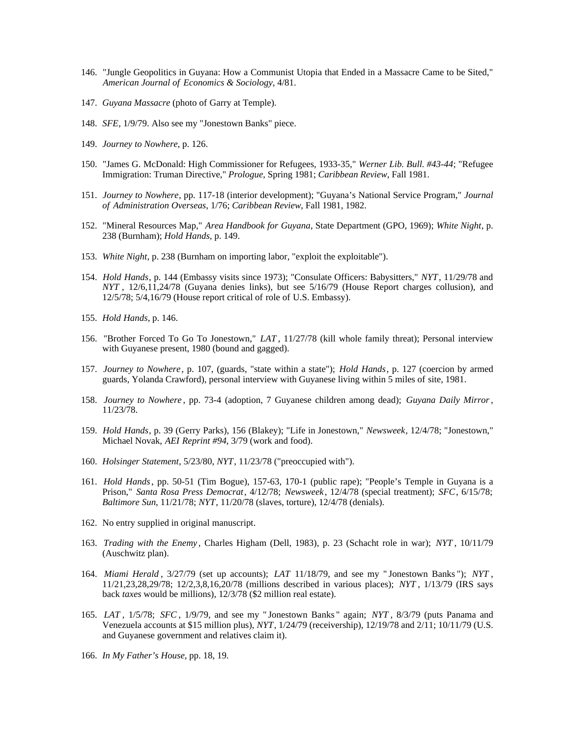- 146. "Jungle Geopolitics in Guyana: How a Communist Utopia that Ended in a Massacre Came to be Sited," *American Journal of Economics & Sociology*, 4/81.
- 147. *Guyana Massacre* (photo of Garry at Temple).
- 148. *SFE*, 1/9/79. Also see my "Jonestown Banks" piece.
- 149. *Journey to Nowhere*, p. 126.
- 150. "James G. McDonald: High Commissioner for Refugees, 1933-35," *Werner Lib. Bull. #43-44*; "Refugee Immigration: Truman Directive," *Prologue*, Spring 1981; *Caribbean Review*, Fall 1981.
- 151. *Journey to Nowhere*, pp. 117-18 (interior development); "Guyana's National Service Program," *Journal of Administration Overseas*, 1/76; *Caribbean Review*, Fall 1981, 1982.
- 152. "Mineral Resources Map," *Area Handbook for Guyana*, State Department (GPO, 1969); *White Night*, p. 238 (Burnham); *Hold Hands*, p. 149.
- 153. *White Night*, p. 238 (Burnham on importing labor, "exploit the exploitable").
- 154. *Hold Hands*, p. 144 (Embassy visits since 1973); "Consulate Officers: Babysitters," *NYT*, 11/29/78 and *NYT* , 12/6,11,24/78 (Guyana denies links), but see 5/16/79 (House Report charges collusion), and 12/5/78; 5/4,16/79 (House report critical of role of U.S. Embassy).
- 155. *Hold Hands*, p. 146.
- 156. "Brother Forced To Go To Jonestown," *LAT* , 11/27/78 (kill whole family threat); Personal interview with Guyanese present, 1980 (bound and gagged).
- 157. *Journey to Nowhere*, p. 107, (guards, "state within a state"); *Hold Hands*, p. 127 (coercion by armed guards, Yolanda Crawford), personal interview with Guyanese living within 5 miles of site, 1981.
- 158. *Journey to Nowhere* , pp. 73-4 (adoption, 7 Guyanese children among dead); *Guyana Daily Mirror*, 11/23/78.
- 159. *Hold Hands*, p. 39 (Gerry Parks), 156 (Blakey); "Life in Jonestown," *Newsweek*, 12/4/78; "Jonestown," Michael Novak, *AEI Reprint #94*, 3/79 (work and food).
- 160. *Holsinger Statement*, 5/23/80, *NYT*, 11/23/78 ("preoccupied with").
- 161. *Hold Hands*, pp. 50-51 (Tim Bogue), 157-63, 170-1 (public rape); "People's Temple in Guyana is a Prison," *Santa Rosa Press Democrat*, 4/12/78; *Newsweek*, 12/4/78 (special treatment); *SFC*, 6/15/78; *Baltimore Sun*, 11/21/78; *NYT*, 11/20/78 (slaves, torture), 12/4/78 (denials).
- 162. No entry supplied in original manuscript.
- 163. *Trading with the Enemy* , Charles Higham (Dell, 1983), p. 23 (Schacht role in war); *NYT* , 10/11/79 (Auschwitz plan).
- 164. *Miami Herald* , 3/27/79 (set up accounts); *LAT* 11/18/79, and see my " Jonestown Banks "); *NYT* , 11/21,23,28,29/78; 12/2,3,8,16,20/78 (millions described in various places); *NYT* , 1/13/79 (IRS says back *taxes* would be millions), 12/3/78 (\$2 million real estate).
- 165. *LAT* , 1/5/78; *SFC* , 1/9/79, and see my " Jonestown Banks " again; *NYT* , 8/3/79 (puts Panama and Venezuela accounts at \$15 million plus), *NYT*, 1/24/79 (receivership), 12/19/78 and 2/11; 10/11/79 (U.S. and Guyanese government and relatives claim it).
- 166. *In My Father's House*, pp. 18, 19.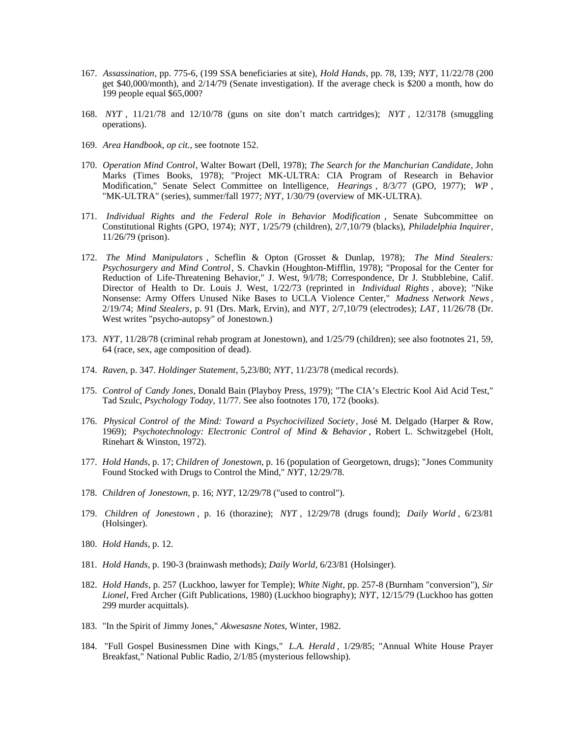- 167. *Assassination*, pp. 775-6, (199 SSA beneficiaries at site), *Hold Hands*, pp. 78, 139; *NYT*, 11/22/78 (200 get \$40,000/month), and 2/14/79 (Senate investigation). If the average check is \$200 a month, how do 199 people equal \$65,000?
- 168. *NYT* , 11/21/78 and 12/10/78 (guns on site don't match cartridges); *NYT* , 12/3178 (smuggling operations).
- 169. *Area Handbook*, *op cit.*, see footnote 152.
- 170. *Operation Mind Control*, Walter Bowart (Dell, 1978); *The Search for the Manchurian Candidate*, John Marks (Times Books, 1978); "Project MK-ULTRA: CIA Program of Research in Behavior Modification," Senate Select Committee on Intelligence, *Hearings* , 8/3/77 (GPO, 1977); *WP* , "MK-ULTRA" (series), summer/fall 1977; *NYT*, 1/30/79 (overview of MK-ULTRA).
- 171. *Individual Rights and the Federal Role in Behavior Modification* , Senate Subcommittee on Constitutional Rights (GPO, 1974); *NYT*, 1/25/79 (children), 2/7,10/79 (blacks), *Philadelphia Inquirer*, 11/26/79 (prison).
- 172. *The Mind Manipulators* , Scheflin & Opton (Grosset & Dunlap, 1978); *The Mind Stealers: Psychosurgery and Mind Control*, S. Chavkin (Houghton-Mifflin, 1978); "Proposal for the Center for Reduction of Life-Threatening Behavior," J. West, 9/l/78; Correspondence, Dr J. Stubblebine, Calif. Director of Health to Dr. Louis J. West, 1/22/73 (reprinted in *Individual Rights* , above); "Nike Nonsense: Army Offers Unused Nike Bases to UCLA Violence Center," *Madness Network News*, 2/19/74; *Mind Stealers*, p. 91 (Drs. Mark, Ervin), and *NYT*, 2/7,10/79 (electrodes); *LAT*, 11/26/78 (Dr. West writes "psycho-autopsy" of Jonestown.)
- 173. *NYT*, 11/28/78 (criminal rehab program at Jonestown), and 1/25/79 (children); see also footnotes 21, 59, 64 (race, sex, age composition of dead).
- 174. *Raven*, p. 347. *Holdinger Statement*, 5,23/80; *NYT*, 11/23/78 (medical records).
- 175. *Control of Candy Jones*, Donald Bain (Playboy Press, 1979); "The CIA's Electric Kool Aid Acid Test," Tad Szulc, *Psychology Today*, 11/77. See also footnotes 170, 172 (books).
- 176. *Physical Control of the Mind: Toward a Psychocivilized Society* , José M. Delgado (Harper & Row, 1969); *Psychotechnology: Electronic Control of Mind & Behavior* , Robert L. Schwitzgebel (Holt, Rinehart & Winston, 1972).
- 177. *Hold Hands*, p. 17; *Children of Jonestown*, p. 16 (population of Georgetown, drugs); "Jones Community Found Stocked with Drugs to Control the Mind," *NYT*, 12/29/78.
- 178. *Children of Jonestown*, p. 16; *NYT*, 12/29/78 ("used to control").
- 179. *Children of Jonestown* , p. 16 (thorazine); *NYT* , 12/29/78 (drugs found); *Daily World* , 6/23/81 (Holsinger).
- 180. *Hold Hands*, p. 12.
- 181. *Hold Hands*, p. 190-3 (brainwash methods); *Daily World*, 6/23/81 (Holsinger).
- 182. *Hold Hands*, p. 257 (Luckhoo, lawyer for Temple); *White Night*, pp. 257-8 (Burnham "conversion"), *Sir Lionel*, Fred Archer (Gift Publications, 1980) (Luckhoo biography); *NYT*, 12/15/79 (Luckhoo has gotten 299 murder acquittals).
- 183. "In the Spirit of Jimmy Jones," *Akwesasne Notes*, Winter, 1982.
- 184. "Full Gospel Businessmen Dine with Kings," *L.A. Herald* , 1/29/85; "Annual White House Prayer Breakfast," National Public Radio, 2/1/85 (mysterious fellowship).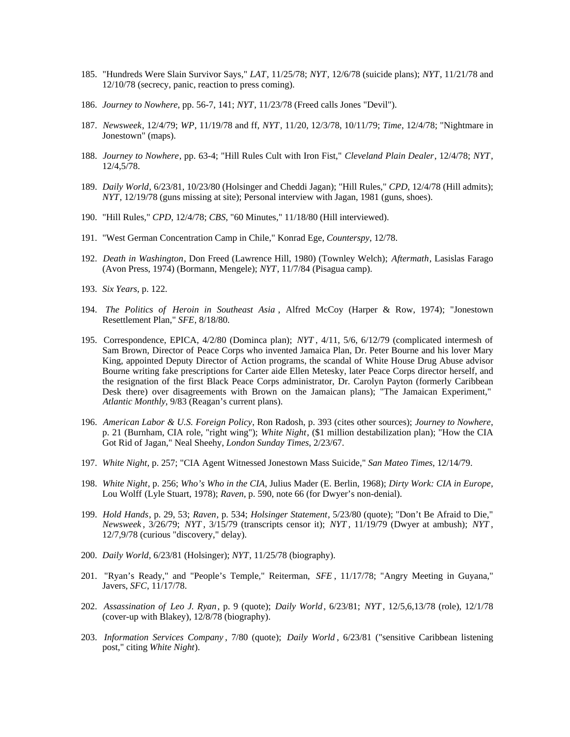- 185. "Hundreds Were Slain Survivor Says," *LAT*, 11/25/78; *NYT*, 12/6/78 (suicide plans); *NYT*, 11/21/78 and 12/10/78 (secrecy, panic, reaction to press coming).
- 186. *Journey to Nowhere*, pp. 56-7, 141; *NYT*, 11/23/78 (Freed calls Jones "Devil").
- 187. *Newsweek*, 12/4/79; *WP*, 11/19/78 and ff, *NYT*, 11/20, 12/3/78, 10/11/79; *Time*, 12/4/78; "Nightmare in Jonestown" (maps).
- 188. *Journey to Nowhere*, pp. 63-4; "Hill Rules Cult with Iron Fist," *Cleveland Plain Dealer*, 12/4/78; *NYT*, 12/4,5/78.
- 189. *Daily World*, 6/23/81, 10/23/80 (Holsinger and Cheddi Jagan); "Hill Rules," *CPD*, 12/4/78 (Hill admits); *NYT*, 12/19/78 (guns missing at site); Personal interview with Jagan, 1981 (guns, shoes).
- 190. "Hill Rules," *CPD*, 12/4/78; *CBS*, "60 Minutes," 11/18/80 (Hill interviewed).
- 191. "West German Concentration Camp in Chile," Konrad Ege, *Counterspy*, 12/78.
- 192. *Death in Washington*, Don Freed (Lawrence Hill, 1980) (Townley Welch); *Aftermath*, Lasislas Farago (Avon Press, 1974) (Bormann, Mengele); *NYT*, 11/7/84 (Pisagua camp).
- 193. *Six Years*, p. 122.
- 194. *The Politics of Heroin in Southeast Asia* , Alfred McCoy (Harper & Row, 1974); "Jonestown Resettlement Plan," *SFE*, 8/18/80.
- 195. Correspondence, EPICA, 4/2/80 (Dominca plan); *NYT* , 4/11, 5/6, 6/12/79 (complicated intermesh of Sam Brown, Director of Peace Corps who invented Jamaica Plan, Dr. Peter Bourne and his lover Mary King, appointed Deputy Director of Action programs, the scandal of White House Drug Abuse advisor Bourne writing fake prescriptions for Carter aide Ellen Metesky, later Peace Corps director herself, and the resignation of the first Black Peace Corps administrator, Dr. Carolyn Payton (formerly Caribbean Desk there) over disagreements with Brown on the Jamaican plans); "The Jamaican Experiment," *Atlantic Monthly*, 9/83 (Reagan's current plans).
- 196. *American Labor & U.S. Foreign Policy*, Ron Radosh, p. 393 (cites other sources); *Journey to Nowhere*, p. 21 (Burnham, CIA role, "right wing"); *White Night*, (\$1 million destabilization plan); "How the CIA Got Rid of Jagan," Neal Sheehy, *London Sunday Times*, 2/23/67.
- 197. *White Night*, p. 257; "CIA Agent Witnessed Jonestown Mass Suicide," *San Mateo Times*, 12/14/79.
- 198. *White Night*, p. 256; *Who's Who in the CIA*, Julius Mader (E. Berlin, 1968); *Dirty Work: CIA in Europe*, Lou Wolff (Lyle Stuart, 1978); *Raven*, p. 590, note 66 (for Dwyer's non-denial).
- 199. *Hold Hands*, p. 29, 53; *Raven*, p. 534; *Holsinger Statement*, 5/23/80 (quote); "Don't Be Afraid to Die," *Newsweek* , 3/26/79; *NYT* , 3/15/79 (transcripts censor it); *NYT* , 11/19/79 (Dwyer at ambush); *NYT* , 12/7,9/78 (curious "discovery," delay).
- 200. *Daily World*, 6/23/81 (Holsinger); *NYT*, 11/25/78 (biography).
- 201. "Ryan's Ready," and "People's Temple," Reiterman, *SFE* , 11/17/78; "Angry Meeting in Guyana," Javers, *SFC*, 11/17/78.
- 202. *Assassination of Leo J. Ryan*, p. 9 (quote); *Daily World*, 6/23/81; *NYT* , 12/5,6,13/78 (role), 12/1/78 (cover-up with Blakey), 12/8/78 (biography).
- 203. *Information Services Company* , 7/80 (quote); *Daily World* , 6/23/81 ("sensitive Caribbean listening post," citing *White Night*).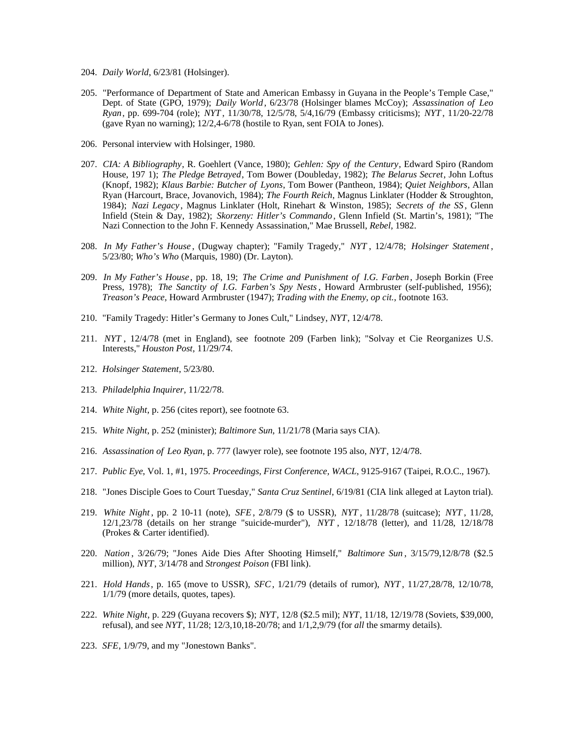- 204. *Daily World*, 6/23/81 (Holsinger).
- 205. "Performance of Department of State and American Embassy in Guyana in the People's Temple Case," Dept. of State (GPO, 1979); *Daily World* , 6/23/78 (Holsinger blames McCoy); *Assassination of Leo Ryan*, pp. 699-704 (role); *NYT* , 11/30/78, 12/5/78, 5/4,16/79 (Embassy criticisms); *NYT* , 11/20-22/78 (gave Ryan no warning); 12/2,4-6/78 (hostile to Ryan, sent FOIA to Jones).
- 206. Personal interview with Holsinger, 1980.
- 207. *CIA: A Bibliography*, R. Goehlert (Vance, 1980); *Gehlen: Spy of the Century*, Edward Spiro (Random House, 197 1); *The Pledge Betrayed*, Tom Bower (Doubleday, 1982); *The Belarus Secret*, John Loftus (Knopf, 1982); *Klaus Barbie: Butcher of Lyons*, Tom Bower (Pantheon, 1984); *Quiet Neighbors*, Allan Ryan (Harcourt, Brace, Jovanovich, 1984); *The Fourth Reich*, Magnus Linklater (Hodder & Stroughton, 1984); *Nazi Legacy* , Magnus Linklater (Holt, Rinehart & Winston, 1985); *Secrets of the SS* , Glenn Infield (Stein & Day, 1982); *Skorzeny: Hitler's Commando*, Glenn Infield (St. Martin's, 1981); "The Nazi Connection to the John F. Kennedy Assassination," Mae Brussell, *Rebel*, 1982.
- 208. *In My Father's House* , (Dugway chapter); "Family Tragedy," *NYT* , 12/4/78; *Holsinger Statement* , 5/23/80; *Who's Who* (Marquis, 1980) (Dr. Layton).
- 209. *In My Father's House* , pp. 18, 19; *The Crime and Punishment of I.G. Farben*, Joseph Borkin (Free Press, 1978); *The Sanctity of I.G. Farben's Spy Nests*, Howard Armbruster (self-published, 1956); *Treason's Peace*, Howard Armbruster (1947); *Trading with the Enemy*, *op cit.*, footnote 163.
- 210. "Family Tragedy: Hitler's Germany to Jones Cult," Lindsey, *NYT*, 12/4/78.
- 211. *NYT* , 12/4/78 (met in England), see footnote 209 (Farben link); "Solvay et Cie Reorganizes U.S. Interests," *Houston Post*, 11/29/74.
- 212. *Holsinger Statement*, 5/23/80.
- 213. *Philadelphia Inquirer*, 11/22/78.
- 214. *White Night*, p. 256 (cites report), see footnote 63.
- 215. *White Night*, p. 252 (minister); *Baltimore Sun*, 11/21/78 (Maria says CIA).
- 216. *Assassination of Leo Ryan*, p. 777 (lawyer role), see footnote 195 also, *NYT*, 12/4/78.
- 217. *Public Eye*, Vol. 1, #1, 1975. *Proceedings, First Conference, WACL*, 9125-9167 (Taipei, R.O.C., 1967).
- 218. "Jones Disciple Goes to Court Tuesday," *Santa Cruz Sentinel*, 6/19/81 (CIA link alleged at Layton trial).
- 219. *White Night* , pp. 2 10-11 (note), *SFE*, 2/8/79 (\$ to USSR), *NYT* , 11/28/78 (suitcase); *NYT* , 11/28, 12/1,23/78 (details on her strange "suicide-murder"), *NYT* , 12/18/78 (letter), and 11/28, 12/18/78 (Prokes & Carter identified).
- 220. *Nation* , 3/26/79; "Jones Aide Dies After Shooting Himself," *Baltimore Sun* , 3/15/79,12/8/78 (\$2.5 million), *NYT*, 3/14/78 and *Strongest Poison* (FBI link).
- 221. *Hold Hands*, p. 165 (move to USSR), *SFC*, 1/21/79 (details of rumor), *NYT* , 11/27,28/78, 12/10/78, 1/1/79 (more details, quotes, tapes).
- 222. *White Night*, p. 229 (Guyana recovers \$); *NYT*, 12/8 (\$2.5 mil); *NYT*, 11/18, 12/19/78 (Soviets, \$39,000, refusal), and see *NYT*, 11/28; 12/3,10,18-20/78; and 1/1,2,9/79 (for *all* the smarmy details).
- 223. *SFE*, 1/9/79, and my "Jonestown Banks".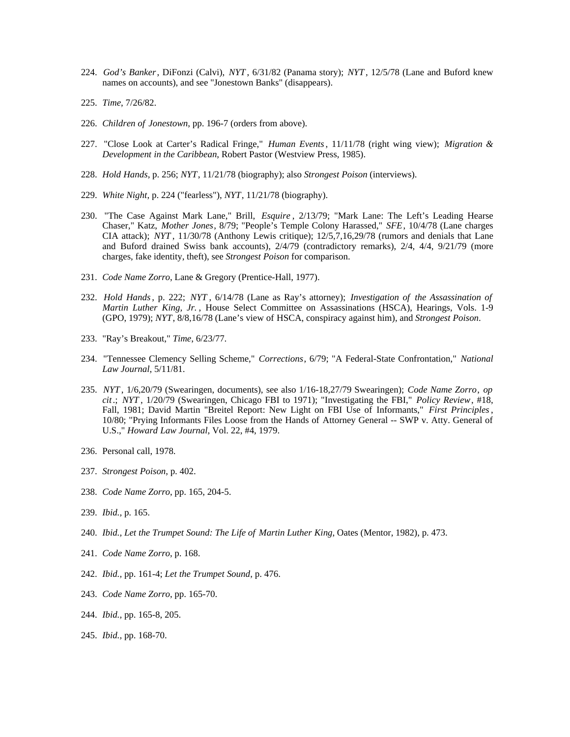- 224. *God's Banker*, DiFonzi (Calvi), *NYT* , 6/31/82 (Panama story); *NYT* , 12/5/78 (Lane and Buford knew names on accounts), and see "Jonestown Banks" (disappears).
- 225. *Time*, 7/26/82.
- 226. *Children of Jonestown*, pp. 196-7 (orders from above).
- 227. "Close Look at Carter's Radical Fringe," *Human Events*, 11/11/78 (right wing view); *Migration & Development in the Caribbean*, Robert Pastor (Westview Press, 1985).
- 228. *Hold Hands*, p. 256; *NYT*, 11/21/78 (biography); also *Strongest Poison* (interviews).
- 229. *White Night*, p. 224 ("fearless"), *NYT*, 11/21/78 (biography).
- 230. "The Case Against Mark Lane," Brill, *Esquire* , 2/13/79; "Mark Lane: The Left's Leading Hearse Chaser," Katz, *Mother Jones*, 8/79; "People's Temple Colony Harassed," *SFE*, 10/4/78 (Lane charges CIA attack); *NYT* , 11/30/78 (Anthony Lewis critique); 12/5,7,16,29/78 (rumors and denials that Lane and Buford drained Swiss bank accounts), 2/4/79 (contradictory remarks), 2/4, 4/4, 9/21/79 (more charges, fake identity, theft), see *Strongest Poison* for comparison.
- 231. *Code Name Zorro*, Lane & Gregory (Prentice-Hall, 1977).
- 232. *Hold Hands*, p. 222; *NYT* , 6/14/78 (Lane as Ray's attorney); *Investigation of the Assassination of Martin Luther King, Jr.* , House Select Committee on Assassinations (HSCA), Hearings, Vols. 1-9 (GPO, 1979); *NYT*, 8/8,16/78 (Lane's view of HSCA, conspiracy against him), and *Strongest Poison*.
- 233. "Ray's Breakout," *Time*, 6/23/77.
- 234. "Tennessee Clemency Selling Scheme," *Corrections*, 6/79; "A Federal-State Confrontation," *National Law Journal*, 5/11/81.
- 235. *NYT* , 1/6,20/79 (Swearingen, documents), see also 1/16-18,27/79 Swearingen); *Code Name Zorro*, *op cit*.; *NYT* , 1/20/79 (Swearingen, Chicago FBI to 1971); "Investigating the FBI," *Policy Review*, #18, Fall, 1981; David Martin "Breitel Report: New Light on FBI Use of Informants," *First Principles*, 10/80; "Prying Informants Files Loose from the Hands of Attorney General -- SWP v. Atty. General of U.S.," *Howard Law Journal*, Vol. 22, #4, 1979.
- 236. Personal call, 1978.
- 237. *Strongest Poison*, p. 402.
- 238. *Code Name Zorro*, pp. 165, 204-5.
- 239. *Ibid.,* p. 165.
- 240. *Ibid., Let the Trumpet Sound: The Life of Martin Luther King*, Oates (Mentor, 1982), p. 473.
- 241. *Code Name Zorro*, p. 168.
- 242. *Ibid.,* pp. 161-4; *Let the Trumpet Sound*, p. 476.
- 243. *Code Name Zorro*, pp. 165-70.
- 244. *Ibid.,* pp. 165-8, 205.
- 245. *Ibid.,* pp. 168-70.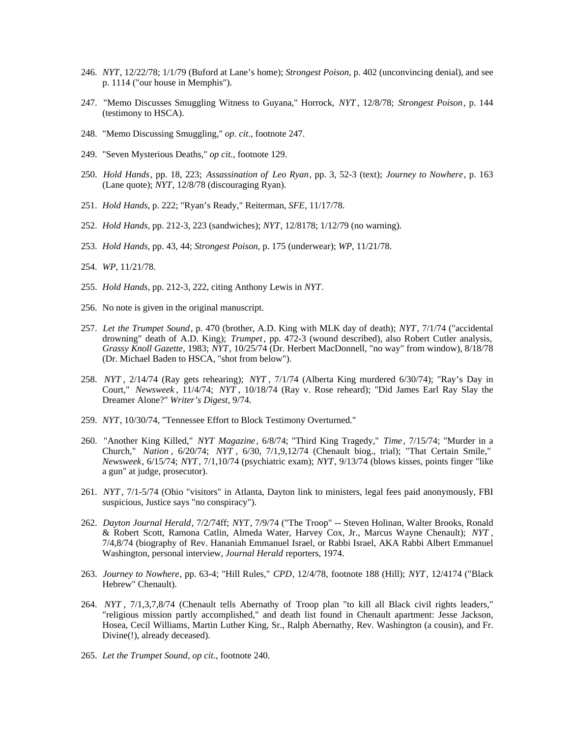- 246. *NYT*, 12/22/78; 1/1/79 (Buford at Lane's home); *Strongest Poison*, p. 402 (unconvincing denial), and see p. 1114 ("our house in Memphis").
- 247. "Memo Discusses Smuggling Witness to Guyana," Horrock, *NYT* , 12/8/78; *Strongest Poison*, p. 144 (testimony to HSCA).
- 248. "Memo Discussing Smuggling," *op. cit*., footnote 247.
- 249. "Seven Mysterious Deaths," *op cit.*, footnote 129.
- 250. *Hold Hands*, pp. 18, 223; *Assassination of Leo Ryan*, pp. 3, 52-3 (text); *Journey to Nowhere*, p. 163 (Lane quote); *NYT*, 12/8/78 (discouraging Ryan).
- 251. *Hold Hands*, p. 222; "Ryan's Ready," Reiterman, *SFE*, 11/17/78.
- 252. *Hold Hands*, pp. 212-3, 223 (sandwiches); *NYT*, 12/8178; 1/12/79 (no warning).
- 253. *Hold Hands*, pp. 43, 44; *Strongest Poison*, p. 175 (underwear); *WP*, 11/21/78.
- 254. *WP*, 11/21/78.
- 255. *Hold Hands*, pp. 212-3, 222, citing Anthony Lewis in *NYT*.
- 256. No note is given in the original manuscript.
- 257. *Let the Trumpet Sound*, p. 470 (brother, A.D. King with MLK day of death); *NYT*, 7/1/74 ("accidental drowning" death of A.D. King); *Trumpet*, pp. 472-3 (wound described), also Robert Cutler analysis, *Grassy Knoll Gazette*, 1983; *NYT*, 10/25/74 (Dr. Herbert MacDonnell, "no way" from window), 8/18/78 (Dr. Michael Baden to HSCA, "shot from below").
- 258. *NYT* , 2/14/74 (Ray gets rehearing); *NYT* , 7/1/74 (Alberta King murdered 6/30/74); "Ray's Day in Court," *Newsweek* , 11/4/74; *NYT* , 10/18/74 (Ray v. Rose reheard); "Did James Earl Ray Slay the Dreamer Alone?" *Writer's Digest*, 9/74.
- 259. *NYT*, 10/30/74, "Tennessee Effort to Block Testimony Overturned."
- 260. "Another King Killed," *NYT Magazine* , 6/8/74; "Third King Tragedy," *Time* , 7/15/74; "Murder in a Church," *Nation* , 6/20/74; *NYT* , 6/30, 7/1,9,12/74 (Chenault biog., trial); "That Certain Smile," *Newsweek*, 6/15/74; *NYT*, 7/1,10/74 (psychiatric exam); *NYT*, 9/13/74 (blows kisses, points finger "like a gun" at judge, prosecutor).
- 261. *NYT* , 7/1-5/74 (Ohio "visitors" in Atlanta, Dayton link to ministers, legal fees paid anonymously, FBI suspicious, Justice says "no conspiracy").
- 262. *Dayton Journal Herald*, 7/2/74ff; *NYT*, 7/9/74 ("The Troop" -- Steven Holinan, Walter Brooks, Ronald & Robert Scott, Ramona Catlin, Almeda Water, Harvey Cox, Jr., Marcus Wayne Chenault); *NYT* , 7/4,8/74 (biography of Rev. Hananiah Emmanuel Israel, or Rabbi Israel, AKA Rabbi Albert Emmanuel Washington, personal interview, *Journal Herald* reporters, 1974.
- 263. *Journey to Nowhere*, pp. 63-4; "Hill Rules," *CPD*, 12/4/78, footnote 188 (Hill); *NYT*, 12/4174 ("Black Hebrew" Chenault).
- 264. *NYT* , 7/1,3,7,8/74 (Chenault tells Abernathy of Troop plan "to kill all Black civil rights leaders," "religious mission partly accomplished," and death list found in Chenault apartment: Jesse Jackson, Hosea, Cecil Williams, Martin Luther King, Sr., Ralph Abernathy, Rev. Washington (a cousin), and Fr. Divine(!), already deceased).
- 265. *Let the Trumpet Sound*, *op cit*., footnote 240.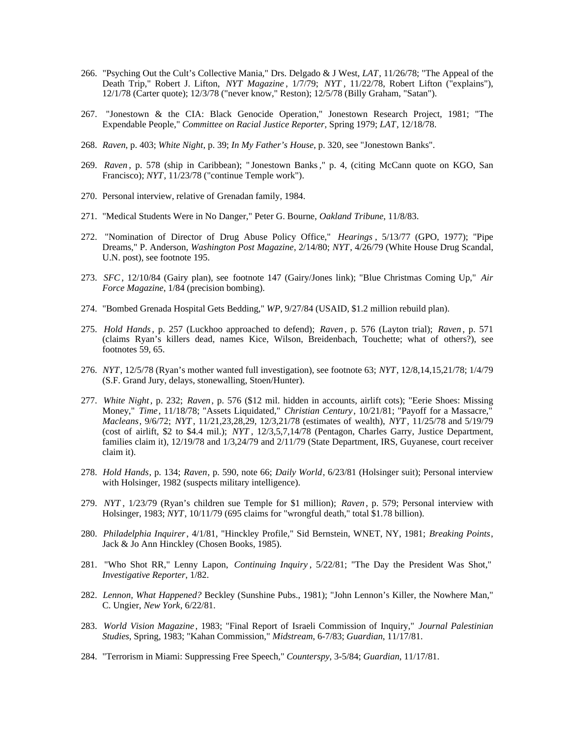- 266. "Psyching Out the Cult's Collective Mania," Drs. Delgado & J West, *LAT*, 11/26/78; "The Appeal of the Death Trip," Robert J. Lifton, *NYT Magazine* , 1/7/79; *NYT* , 11/22/78, Robert Lifton ("explains"), 12/1/78 (Carter quote); 12/3/78 ("never know," Reston); 12/5/78 (Billy Graham, "Satan").
- 267. "Jonestown & the CIA: Black Genocide Operation," Jonestown Research Project, 1981; "The Expendable People," *Committee on Racial Justice Reporter*, Spring 1979; *LAT*, 12/18/78.
- 268. *Raven*, p. 403; *White Night*, p. 39; *In My Father's House*, p. 320, see "Jonestown Banks".
- 269. *Raven* , p. 578 (ship in Caribbean); " Jonestown Banks ," p. 4, (citing McCann quote on KGO, San Francisco); *NYT*, 11/23/78 ("continue Temple work").
- 270. Personal interview, relative of Grenadan family, 1984.
- 271. "Medical Students Were in No Danger," Peter G. Bourne, *Oakland Tribune*, 11/8/83.
- 272. "Nomination of Director of Drug Abuse Policy Office," *Hearings* , 5/13/77 (GPO, 1977); "Pipe Dreams," P. Anderson, *Washington Post Magazine*, 2/14/80; *NYT*, 4/26/79 (White House Drug Scandal, U.N. post), see footnote 195.
- 273. *SFC*, 12/10/84 (Gairy plan), see footnote 147 (Gairy/Jones link); "Blue Christmas Coming Up," *Air Force Magazine*, 1/84 (precision bombing).
- 274. "Bombed Grenada Hospital Gets Bedding," *WP*, 9/27/84 (USAID, \$1.2 million rebuild plan).
- 275. *Hold Hands*, p. 257 (Luckhoo approached to defend); *Raven* , p. 576 (Layton trial); *Raven* , p. 571 (claims Ryan's killers dead, names Kice, Wilson, Breidenbach, Touchette; what of others?), see footnotes 59, 65.
- 276. *NYT*, 12/5/78 (Ryan's mother wanted full investigation), see footnote 63; *NYT*, 12/8,14,15,21/78; 1/4/79 (S.F. Grand Jury, delays, stonewalling, Stoen/Hunter).
- 277. *White Night*, p. 232; *Raven*, p. 576 (\$12 mil. hidden in accounts, airlift cots); "Eerie Shoes: Missing Money," *Time*, 11/18/78; "Assets Liquidated," *Christian Century*, 10/21/81; "Payoff for a Massacre," *Macleans*, 9/6/72; *NYT* , 11/21,23,28,29, 12/3,21/78 (estimates of wealth), *NYT* , 11/25/78 and 5/19/79 (cost of airlift, \$2 to \$4.4 mil.); *NYT* , 12/3,5,7,14/78 (Pentagon, Charles Garry, Justice Department, families claim it), 12/19/78 and 1/3,24/79 and 2/11/79 (State Department, IRS, Guyanese, court receiver claim it).
- 278. *Hold Hands*, p. 134; *Raven*, p. 590, note 66; *Daily World*, 6/23/81 (Holsinger suit); Personal interview with Holsinger, 1982 (suspects military intelligence).
- 279. *NYT* , 1/23/79 (Ryan's children sue Temple for \$1 million); *Raven* , p. 579; Personal interview with Holsinger, 1983; *NYT*, 10/11/79 (695 claims for "wrongful death," total \$1.78 billion).
- 280. *Philadelphia Inquirer*, 4/1/81, "Hinckley Profile," Sid Bernstein, WNET, NY, 1981; *Breaking Points*, Jack & Jo Ann Hinckley (Chosen Books, 1985).
- 281. "Who Shot RR," Lenny Lapon, *Continuing Inquiry* , 5/22/81; "The Day the President Was Shot," *Investigative Reporter*, 1/82.
- 282. *Lennon, What Happened?* Beckley (Sunshine Pubs., 1981); "John Lennon's Killer, the Nowhere Man," C. Ungier, *New York*, 6/22/81.
- 283. *World Vision Magazine* , 1983; "Final Report of Israeli Commission of Inquiry," *Journal Palestinian Studies*, Spring, 1983; "Kahan Commission," *Midstream*, 6-7/83; *Guardian*, 11/17/81.
- 284. "Terrorism in Miami: Suppressing Free Speech," *Counterspy*, 3-5/84; *Guardian*, 11/17/81.